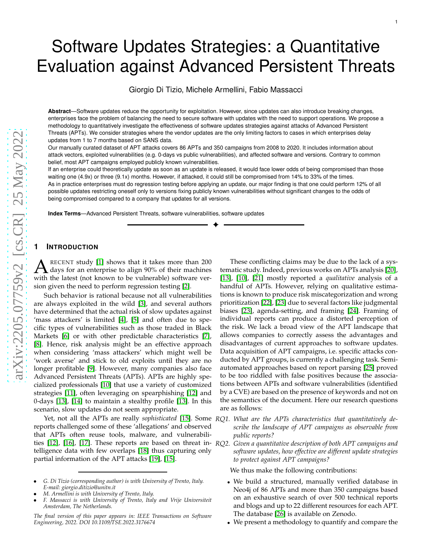# Software Updates Strategies: a Quantitative Evaluation against Advanced Persistent Threats

Giorgio Di Tizio, Michele Armellini, Fabio Massacci

**Abstract**—Software updates reduce the opportunity for exploitation. However, since updates can also introduce breaking changes, enterprises face the problem of balancing the need to secure software with updates with the need to support operations. We propose a methodology to quantitatively investigate the effectiveness of software updates strategies against attacks of Advanced Persistent Threats (APTs). We consider strategies where the vendor updates are the only limiting factors to cases in which enterprises delay updates from 1 to 7 months based on SANS data.

Our manually curated dataset of APT attacks covers 86 APTs and 350 campaigns from 2008 to 2020. It includes information about attack vectors, exploited vulnerabilities (e.g. 0-days vs public vulnerabilities), and affected software and versions. Contrary to common belief, most APT campaigns employed publicly known vulnerabilities.

If an enterprise could theoretically update as soon as an update is released, it would face lower odds of being compromised than those waiting one (4.9x) or three (9.1x) months. However, if attacked, it could still be compromised from 14% to 33% of the times . As in practice enterprises must do regression testing before applying an update, our major finding is that one could perform 12% of all possible updates restricting oneself only to versions fixing publicly known vulnerabilities without significant changes to the odds of being compromised compared to a company that updates for all versions.

✦

**Index Terms**—Advanced Persistent Threats, software vulnerabilities, software updates

## **1 INTRODUCTION**

 $\Lambda$  RECENT study [1] shows that it takes more than 200 days for an enterprise to align 90% of their machines RECENT study [1] shows that it takes more than 200 with the latest (not known to be vulnerable) software version given the need to perform regression testing [2].

Such behavior is rational because not all vulnerabilities are always exploited in the wild [3], and several authors have determined that the actual risk of slow updates against 'mass attackers' is limited [4], [5] and often due to specific types of vulnerabilities such as those traded in Black Markets [6] or with other predictable characteristics [\[7\]](#page-12-0), [\[8\]](#page-18-0). Hence, risk analysis might be an effective approach when considering 'mass attackers' which might well be 'work averse' and stick to old exploits until they are no longer profitable [\[9\]](#page-12-1). However, many companies also face Advanced Persistent Threats (APTs). APTs are highly specialized professionals [10] that use a variety of customized strategies [11], often leveraging on spearphishing [\[12\]](#page-19-0) an d 0-days [13], [14] to maintain a stealthy profile [13]. In this scenario, slow updates do not seem appropriate.

Yet, not all the APTs are really *sophisticated* [15]. Some *RQ1. What are the APTs characteristics that quantitatively de*reports challenged some of these 'allegations' and observe d that APTs often reuse tools, malware, and vulnerabilities [\[12\]](#page-19-0), [\[16\]](#page-12-2), [\[17\]](#page-12-3). These reports are based on threat in-*RQ2. Given a quantitative description of both APT campaigns and* telligence data with few overlaps [\[18\]](#page-19-1) thus capturing only partial information of the APT attacks [19], [15].

These conflicting claims may be due to the lack of a systematic study. Indeed, previous works on APTs analysis [20], [13], [10], [21] mostly reported a *qualitative* analysis of a handful of APTs. However, relying on qualitative estimations is known to produce risk miscategorization and wrong prioritization [\[22\]](#page-12-4), [\[23\]](#page-12-5) due to several factors like judgmental biases [\[23\]](#page-12-5), agenda-setting, and framing [\[24\]](#page-12-6). Framing of individual reports can produce a distorted perception of the risk. We lack a broad view of the APT landscape that allows companies to correctly assess the advantages and disadvantages of current approaches to software updates. Data acquisition of APT campaigns, i.e. specific attacks con ducted by APT groups, is currently a challenging task. Semiautomated approaches based on report parsing [25] proved to be too riddled with false positives because the associations between APTs and software vulnerabilities (identified by a CVE) are based on the presence of keywords and not on the semantics of the document. Here our research questions are as follows:

- *scribe the landscape of APT campaigns as observable from public reports?*
- *software updates, how effective are different update strategies to protect against APT campaigns?*

We thus make the following contributions:

- We build a structured, manually verified database in Neo4j of 86 APTs and more than 350 campaigns based on an exhaustive search of over 500 technical reports and blogs and up to 22 different resources for each APT. The database [\[26\]](#page-12-7) is available on Zenodo.
- We present a methodology to quantify and compare the

<sup>•</sup> *G. Di Tizio (corresponding author) is with University of Trento, Italy. E-mail: giorgio.ditizio@unitn.it*

<sup>•</sup> *M. Armellini is with University of Trento, Italy.*

<sup>•</sup> *F. Massacci is with University of Trento, Italy and Vrije Universiteit Amsterdam, The Netherlands.*

*The final version of this paper appears in: IEEE Transactions on Software Engineering, 2022. DOI 10.1109/TSE.2022.3176674*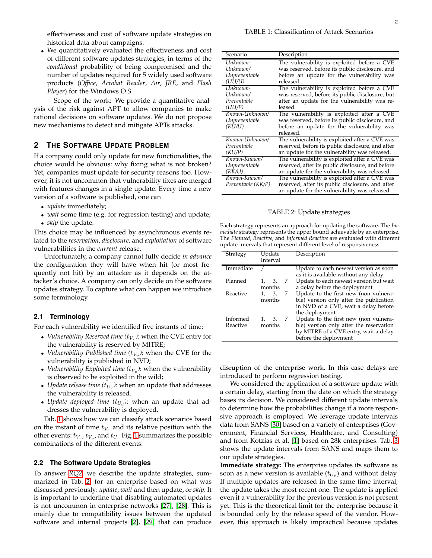• We quantitatively evaluated the effectiveness and cost of different software updates strategies, in terms of the *conditional* probability of being compromised and the number of updates required for 5 widely used software products (*Office*, *Acrobat Reader*, *Air*, *JRE*, and *Flash Player*) for the Windows O.S.

Scope of the work: We provide a quantitative analysis of the risk against APT to allow companies to make rational decisions on software updates. We do not propose new mechanisms to detect and mitigate APTs attacks.

# **2 THE SOFTWARE UPDATE PROBLEM**

If a company could only update for new functionalities, the choice would be obvious: why fixing what is not broken? Yet, companies must update for security reasons too. However, it is not uncommon that vulnerability fixes are merged with features changes in a single update. Every time a new version of a software is published, one can

- *update* immediately;
- *wait* some time (e.g. for regression testing) and update;
- *skip* the update.

This choice may be influenced by asynchronous events related to the *reservation*, *disclosure*, and *exploitation* of software vulnerabilities in the *current* release.

Unfortunately, a company cannot fully decide *in advance* the configuration they will have when hit (or most frequently not hit) by an attacker as it depends on the attacker's choice. A company can only decide on the software updates strategy. To capture what can happen we introduce some terminology.

# **2.1 Terminology**

For each vulnerability we identified five instants of time:

- *Vulnerability Reserved time*  $(t_{V_r})$ *:* when the CVE entry for the vulnerability is reserved by MITRE;
- *Vulnerability Published time*  $(t_{V_p})$ : when the CVE for the vulnerability is published in NVD;
- *Vulnerability Exploited time*  $(t_{V_e})$ *:* when the vulnerability is observed to be exploited in the wild;
- *Update release time*  $(t_{U_r})$ : when an update that addresses the vulnerability is released.
- *Update deployed time*  $(t_{U_d})$ : when an update that addresses the vulnerability is deployed.

Tab. [1](#page-15-0) shows how we can classify attack scenarios based on the instant of time  $t_{V_e}$  and its relative position with the other events:  $t_{V_r}$ ,  $t_{V_p}$ , and  $t_{U_r}$  Fig. [1](#page-2-0) summarizes the possible combinations of the different events.

## **2.2 The Software Update Strategies**

To answer *[RQ2](#page-14-0)*, we describe the update strategies, summarized in Tab. [2,](#page-1-0) for an enterprise based on what was discussed previously: *update*, *wait* and then update, or *skip*. It is important to underline that disabling automated updates is not uncommon in enterprise networks [27], [28]. This is mainly due to compatibility issues between the updated software and internal projects [2], [29] that can produce

| Scenario                                  | Description                                                                                                                                              |
|-------------------------------------------|----------------------------------------------------------------------------------------------------------------------------------------------------------|
| Unknown-                                  | The vulnerability is exploited before a CVE                                                                                                              |
| Unknown/                                  | was reserved, before its public disclosure, and                                                                                                          |
| Unpreventable                             | before an update for the vulnerability was                                                                                                               |
| (UU/U)                                    | released.                                                                                                                                                |
| Unknown-                                  | The vulnerability is exploited before a CVE                                                                                                              |
| Unknown/                                  | was reserved, before its public disclosure, but                                                                                                          |
| Preventable                               | after an update for the vulnerability was re-                                                                                                            |
| (UU/P)                                    | leased.                                                                                                                                                  |
| Known-Unknown/<br>Unpreventable<br>(KU/U) | The vulnerability is exploited after a CVE<br>was reserved, before its public disclosure, and<br>before an update for the vulnerability was<br>released. |
| Known-Unknown/                            | The vulnerability is exploited after a CVE was                                                                                                           |
| Preventable                               | reserved, before its public disclosure, and after                                                                                                        |
| (KU/P)                                    | an update for the vulnerability was released.                                                                                                            |
| Known-Known/                              | The vulnerability is exploited after a CVE was                                                                                                           |
| Unpreventable                             | reserved, after its public disclosure, and before                                                                                                        |
| (KK/U)                                    | an update for the vulnerability was released.                                                                                                            |
| Known-Known/<br>Preventable (KK/P)        | The vulnerability is exploited after a CVE was<br>reserved, after its public disclosure, and after<br>an update for the vulnerability was released.      |

## TABLE 2: Update strategies

<span id="page-1-0"></span>Each strategy represents an approach for updating the software. The *Immediate* strategy represents the upper bound achievable by an enterprise. The *Planned*, *Reactive*, and *Informed Reactive* are evaluated with different update intervals that represent different level of responsiveness.

| Strategy             | Update                  | Description                                                                                                                                        |
|----------------------|-------------------------|----------------------------------------------------------------------------------------------------------------------------------------------------|
|                      | Interval                |                                                                                                                                                    |
| Immediate            |                         | Update to each newest version as soon<br>as it is available without any delay                                                                      |
| Planned              | 7<br>3,<br>months       | Update to each newest version but wait<br>a delay before the deployment                                                                            |
| Reactive             | 3,<br>7<br>1.<br>months | Update to the first new (non vulnera-<br>ble) version only after the publication<br>in NVD of a CVE, wait a delay before<br>the deployment         |
| Informed<br>Reactive | 7<br>3,<br>months       | Update to the first new (non vulnera-<br>ble) version only after the reservation<br>by MITRE of a CVE entry, wait a delay<br>before the deployment |

disruption of the enterprise work. In this case delays are introduced to perform regression testing.

We considered the application of a software update with a certain delay, starting from the date on which the strategy bases its decision. We considered different update intervals to determine how the probabilities change if a more responsive approach is employed. We leverage update intervals data from SANS [\[30\]](#page-12-8) based on a variety of enterprises (Government, Financial Services, Healthcare, and Consulting) and from Kotzias et al. [1] based on 28k enterprises. Tab. [3](#page-2-1) shows the update intervals from SANS and maps them to our update strategies.

**Immediate strategy:** The enterprise updates its software as soon as a new version is available  $(t_{U_r})$  and without delay. If multiple updates are released in the same time interval, the update takes the most recent one. The update is applied even if a vulnerability for the previous version is not present yet. This is the theoretical limit for the enterprise because it is bounded only by the release speed of the vendor. However, this approach is likely impractical because updates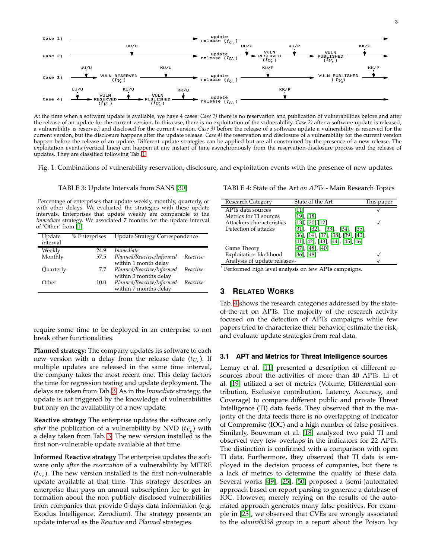<span id="page-2-0"></span>

At the time when a software update is available, we have 4 cases: *Case 1)* there is no reservation and publication of vulnerabilities before and after the release of an update for the current version. In this case, there is no exploitation of the vulnerability. *Case 2)* after a software update is released, a vulnerability is reserved and disclosed for the current version. *Case 3)* before the release of a software update a vulnerability is reserved for the current version, but the disclosure happens after the update release. *Case 4)* the reservation and disclosure of a vulnerability for the current version happen before the release of an update. Different update strategies can be applied but are all constrained by the presence of a new release. The exploitation events (vertical lines) can happen at any instant of time asynchronously from the reservation-disclosure process and the release of updates. They are classified following Tab. [1](#page-15-0)

<span id="page-2-1"></span>Fig. 1: Combinations of vulnerability reservation, disclosure, and exploitation events with the presence of new updates.

TABLE 3: Update Intervals from SANS [\[30\]](#page-12-8)

Percentage of enterprises that update weekly, monthly, quarterly, or with other delays. We evaluated the strategies with these update intervals. Enterprises that update weekly are comparable to the *Immediate* strategy. We associated 7 months for the update interval of 'Other' from [1].

| Update    | % Enterprises | <b>Update Strategy Correspondence</b> |          |
|-----------|---------------|---------------------------------------|----------|
| interval  |               |                                       |          |
| Weekly    | 24.9          | <i>Immediate</i>                      |          |
| Monthly   | 57.5          | Planned/Reactive/Informed             | Reactive |
|           |               | within 1 month delay                  |          |
| Quarterly | 7.7           | Planned/Reactive/Informed             | Reactive |
|           |               | within 3 months delay                 |          |
| Other     | 10.0          | Planned/Reactive/Informed             | Reactive |
|           |               | within 7 months delay                 |          |

require some time to be deployed in an enterprise to not break other functionalities.

**Planned strategy:** The company updates its software to each new version with a delay from the release date  $(t_{U_r})$ . If multiple updates are released in the same time interval, the company takes the most recent one. This delay factors the time for regression testing and update deployment. The delays are taken from Tab. [3.](#page-2-1) As in the *Immediate* strategy, the update is *not* triggered by the knowledge of vulnerabilities but only on the availability of a new update.

**Reactive strategy** The enterprise updates the software only *after* the publication of a vulnerability by NVD  $(t_{V_p})$  with a delay taken from Tab. [3.](#page-2-1) The new version installed is the first non-vulnerable update available at that time.

**Informed Reactive strategy** The enterprise updates the software only *after* the *reservation* of a vulnerability by MITRE  $(t_{V_r})$ . The new version installed is the first non-vulnerable update available at that time. This strategy describes an enterprise that pays an annual subscription fee to get information about the non publicly disclosed vulnerabilities from companies that provide 0-days data information (e.g. Exodus Intelligence, Zerodium). The strategy presents an update interval as the *Reactive* and *Planned* strategies.

<span id="page-2-2"></span>TABLE 4: State of the Art *on APTs* - Main Research Topics

| Research Category             | State of the Art                             | This paper |
|-------------------------------|----------------------------------------------|------------|
| APTs data sources             |                                              |            |
| Metrics for TI sources        | $[19]$ , $[18]$                              |            |
| Attackers characteristics     | $[13]$ , $[20]$ , $[12]$                     |            |
| Detection of attacks          | $[31]$ , $[32]$ , $[33]$ , $[34]$ , $[35]$ , |            |
|                               | [36], [14], [37], [38], [39], [40],          |            |
|                               | [41],[42],[43],[44],[45],[46]                |            |
| Game Theory                   | $[47]$ , $[48]$ , $[40]$                     |            |
| Exploitation likelihood       | $[36]$ , $[48]$                              |            |
| Analysis of update releases - |                                              |            |

\* Performed high level analysis on few APTs campaigns.

# **3 RELATED WORKS**

Tab. [4](#page-2-2) shows the research categories addressed by the stateof-the-art on APTs. The majority of the research activity focused on the detection of APTs campaigns while few papers tried to characterize their behavior, estimate the risk, and evaluate update strategies from real data.

#### **3.1 APT and Metrics for Threat Intelligence sources**

Lemay et al. [11] presented a description of different resources about the activities of more than 40 APTs. Li et al. [19] utilized a set of metrics (Volume, Differential contribution, Exclusive contribution, Latency, Accuracy, and Coverage) to compare different public and private Threat Intelligence (TI) data feeds. They observed that in the majority of the data feeds there is no overlapping of Indicator of Compromise (IOC) and a high number of false positives. Similarly, Bouwman et al. [\[18\]](#page-19-1) analyzed two paid TI and observed very few overlaps in the indicators for 22 APTs. The distinction is confirmed with a comparison with open TI data. Furthermore, they observed that TI data is employed in the decision process of companies, but there is a lack of metrics to determine the quality of these data. Several works [49], [25], [50] proposed a (semi-)automated approach based on report parsing to generate a database of IOC. However, merely relying on the results of the automated approach generates many false positives. For example in [25], we observed that CVEs are wrongly associated to the *admin@338* group in a report about the Poison Ivy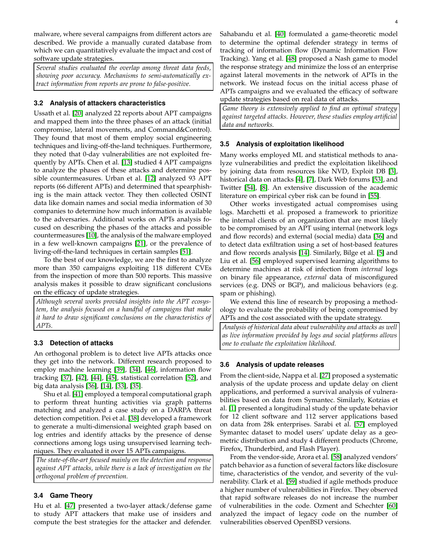malware, where several campaigns from different actors are described. We provide a manually curated database from which we can quantitatively evaluate the impact and cost of software update strategies.

*Several studies evaluated the overlap among threat data feeds, showing poor accuracy. Mechanisms to semi-automatically extract information from reports are prone to false-positive.*

# **3.2 Analysis of attackers characteristics**

Ussath et al. [20] analyzed 22 reports about APT campaigns and mapped them into the three phases of an attack (initial compromise, lateral movements, and Command&Control). They found that most of them employ social engineering techniques and living-off-the-land techniques. Furthermore, they noted that 0-day vulnerabilities are not exploited frequently by APTs. Chen et al. [13] studied 4 APT campaigns to analyze the phases of these attacks and determine possible countermeasures. Urban et al. [\[12\]](#page-19-0) analyzed 93 APT reports (66 different APTs) and determined that spearphishing is the main attack vector. They then collected OSINT data like domain names and social media information of 30 companies to determine how much information is available to the adversaries. Additional works on APTs analysis focused on describing the phases of the attacks and possible countermeasures [10], the analysis of the malware employed in a few well-known campaigns [21], or the prevalence of living-off-the-land techniques in certain samples [\[51\]](#page-13-0).

To the best of our knowledge, we are the first to analyze more than 350 campaigns exploiting 118 different CVEs from the inspection of more than 500 reports. This massive analysis makes it possible to draw significant conclusions on the efficacy of update strategies.

*Although several works provided insights into the APT ecosystem, the analysis focused on a handful of campaigns that make it hard to draw significant conclusions on the characteristics of APTs.*

# **3.3 Detection of attacks**

An orthogonal problem is to detect live APTs attacks once they get into the network. Different research proposed to employ machine learning [39], [34], [\[46\]](#page-19-2), information flow tracking [\[37\]](#page-18-3), [42], [44], [45], statistical correlation [52], and big data analysis [36], [14], [33], [35].

Shu et al. [41] employed a temporal computational graph to perform threat hunting activities via graph patterns matching and analyzed a case study on a DARPA threat detection competition. Pei et al. [38] developed a framework to generate a multi-dimensional weighted graph based on log entries and identify attacks by the presence of dense connections among logs using unsupervised learning techniques. They evaluated it over 15 APTs campaigns.

*The state-of-the-art focused mainly on the detection and response against APT attacks, while there is a lack of investigation on the orthogonal problem of prevention.*

# **3.4 Game Theory**

Hu et al. [47] presented a two-layer attack/defense game to study APT attackers that make use of insiders and compute the best strategies for the attacker and defender. Sahabandu et al. [40] formulated a game-theoretic model to determine the optimal defender strategy in terms of tracking of information flow (Dynamic Information Flow Tracking). Yang et al. [\[48\]](#page-19-3) proposed a Nash game to model the response strategy and minimize the loss of an enterprise against lateral movements in the network of APTs in the network. We instead focus on the initial access phase of APTs campaigns and we evaluated the efficacy of software update strategies based on real data of attacks.

*Game theory is extensively applied to find an optimal strategy against targeted attacks. However, these studies employ artificial data and networks.*

## **3.5 Analysis of exploitation likelihood**

Many works employed ML and statistical methods to analyze vulnerabilities and predict the exploitation likelihood by joining data from resources like NVD, Exploit DB [3], historical data on attacks [4], [\[7\]](#page-12-0), Dark Web forums [53], and Twitter [54], [\[8\]](#page-18-0). An extensive discussion of the academic literature on empirical cyber risk can be found in [\[55\]](#page-13-1).

Other works investigated actual compromises using logs. Marchetti et al. proposed a framework to prioritize the internal clients of an organization that are most likely to be compromised by an APT using internal (network logs and flow records) and external (social media) data [36] and to detect data exfiltration using a set of host-based features and flow records analysis [14]. Similarly, Bilge et al. [5] and Liu et al. [56] employed supervised learning algorithms to determine machines at risk of infection from *internal* logs on binary file appearance, *external* data of misconfigured services (e.g. DNS or BGP), and malicious behaviors (e.g. spam or phishing).

We extend this line of research by proposing a methodology to evaluate the probability of being compromised by APTs and the cost associated with the update strategy.

*Analysis of historical data about vulnerability and attacks as well as live information provided by logs and social platforms allows one to evaluate the exploitation likelihood.*

## **3.6 Analysis of update releases**

From the client-side, Nappa et al. [27] proposed a systematic analysis of the update process and update delay on client applications, and performed a survival analysis of vulnerabilities based on data from Symantec. Similarly, Kotzias et al. [1] presented a longitudinal study of the update behavior for 12 client software and 112 server applications based on data from 28k enterprises. Sarabi et al. [57] employed Symantec dataset to model users' update delay as a geometric distribution and study 4 different products (Chrome, Firefox, Thunderbird, and Flash Player).

From the vendor-side, Arora et al. [58] analyzed vendors' patch behavior as a function of several factors like disclosure time, characteristics of the vendor, and severity of the vulnerability. Clark et al. [59] studied if agile methods produce a higher number of vulnerabilities in Firefox. They observed that rapid software releases do not increase the number of vulnerabilities in the code. Ozment and Schechter [60] analyzed the impact of legacy code on the number of vulnerabilities observed OpenBSD versions.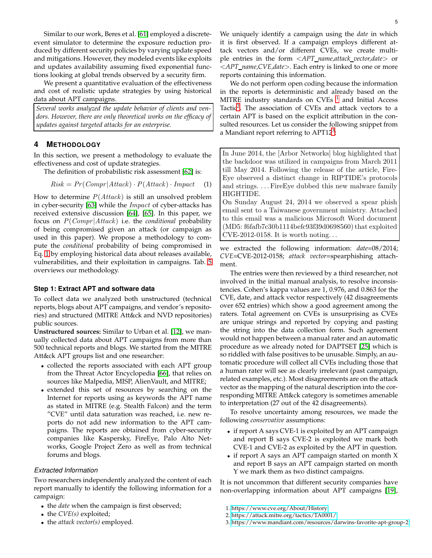Similar to our work, Beres et al. [\[61\]](#page-13-2) employed a discreteevent simulator to determine the exposure reduction produced by different security policies by varying update speed and mitigations. However, they modeled events like exploits and updates availability assuming fixed exponential functions looking at global trends observed by a security firm.

We present a quantitative evaluation of the effectiveness and cost of realistic update strategies by using historical data about APT campaigns.

*Several works analyzed the update behavior of clients and vendors. However, there are only theoretical works on the efficacy of updates against targeted attacks for an enterprise.*

## **4 METHODOLOGY**

In this section, we present a methodology to evaluate the effectiveness and cost of update strategies.

The definition of probabilistic risk assessment [\[62\]](#page-13-3) is:

<span id="page-4-0"></span>
$$
Risk = Pr(Compr|Attack) \cdot P(Attack) \cdot Impact \quad (1)
$$

How to determine  $P(Attack)$  is still an unsolved problem in cyber-security [\[63\]](#page-13-4) while the Impact of cyber-attacks has received extensive discussion [\[64\]](#page-13-5), [65]. In this paper, we focus on P(Compr |Attack) i.e. the *conditional* probability of being compromised given an attack (or campaign as used in this paper). We propose a methodology to compute the *conditional* probability of being compromised in Eq. [1](#page-4-0) by employing historical data about releases available, vulnerabilities, and their exploitation in campaigns. Tab. [5](#page-5-0) overviews our methodology.

## **Step 1: Extract APT and software data**

To collect data we analyzed both unstructured (technical reports, blogs about APT campaigns, and vendor's repositories) and structured (MITRE Att&ck and NVD repositories) public sources.

**Unstructured sources:** Similar to Urban et al. [\[12\]](#page-19-0), we manually collected data about APT campaigns from more than 500 technical reports and blogs. We started from the MITRE Att&ck APT groups list and one researcher:

- collected the reports associated with each APT group from the Threat Actor Encyclopedia [\[66\]](#page-18-4), that relies on sources like Malpedia, MISP, AlienVault, and MITRE;
- extended this set of resources by searching on the Internet for reports using as keywords the APT name as stated in MITRE (e.g. Stealth Falcon) and the term "CVE" until data saturation was reached, i.e. new reports do not add new information to the APT campaigns. The reports are obtained from cyber-security companies like Kaspersky, FireEye, Palo Alto Networks, Google Project Zero as well as from technical forums and blogs.

## *Extracted Information*

Two researchers independently analyzed the content of each report manually to identify the following information for a campaign:

- the *date* when the campaign is first observed;
- the *CVE(s)* exploited;
- the *attack vector(s)* employed.

We uniquely identify a campaign using the *date* in which it is first observed. If a campaign employs different attack vectors and/or different CVEs, we create multiple entries in the form <*APT name,attack vector,date*> or <*APT name,CVE,date*>. Each entry is linked to one or more reports containing this information.

We do not perform open coding because the information in the reports is deterministic and already based on the MITRE industry standards on CVEs  $^1$  $^1$  and Initial Access Tactic<sup>[2](#page-14-2)</sup>. The association of CVEs and attack vectors to a certain APT is based on the explicit attribution in the consulted resources. Let us consider the following snippet from a Mandiant report referring to  $\rm APT12^3$  $\rm APT12^3$ :

In June 2014, the [Arbor Networks] blog highlighted that the backdoor was utilized in campaigns from March 2011 till May 2014. Following the release of the article, Fire-Eye observed a distinct change in RIPTIDE's protocols and strings. . . . FireEye dubbed this new malware family HIGHTIDE.

On Sunday August 24, 2014 we observed a spear phish email sent to a Taiwanese government ministry. Attached to this email was a malicious Microsoft Word document (MD5: f6fafb7c30b1114befc93f39d0698560) that exploited  $CVE-2012-0158$ . It is worth noting...

we extracted the following information: *date*=08/2014; *CVE*=CVE-2012-0158; *attack vector*=spearphishing attachment.

The entries were then reviewed by a third researcher, not involved in the initial manual analysis, to resolve inconsistencies. Cohen's kappa values are 1, 0.976, and 0.863 for the CVE, date, and attack vector respectively (42 disagreements over 652 entries) which show a good agreement among the raters. Total agreement on CVEs is unsurprising as CVEs are unique strings and reported by copying and pasting the string into the data collection form. Such agreement would not happen between a manual rater and an automatic procedure as we already noted for DAPTSET [25] which is so riddled with false positives to be unusable. Simply, an automatic procedure will collect all CVEs including those that a human rater will see as clearly irrelevant (past campaign, related examples, etc.). Most disagreements are on the attack vector as the mapping of the natural description into the corresponding MITRE Att&ck category is sometimes amenable to interpretation (27 out of the 42 disagreements).

To resolve uncertainty among resources, we made the following *conservative* assumptions:

- if report A says CVE-1 is exploited by an APT campaign and report B says CVE-2 is exploited we mark both CVE-1 and CVE-2 as exploited by the APT in question.
- if report A says an APT campaign started on month X and report B says an APT campaign started on month Y we mark them as two distinct campaigns.

It is not uncommon that different security companies have non-overlapping information about APT campaigns [19],

3.<https://www.mandiant.com/resources/darwins-favorite-apt-group-2>

<sup>1.</sup><https://www.cve.org/About/History>

<sup>2.</sup><https://attack.mitre.org/tactics/TA0001/>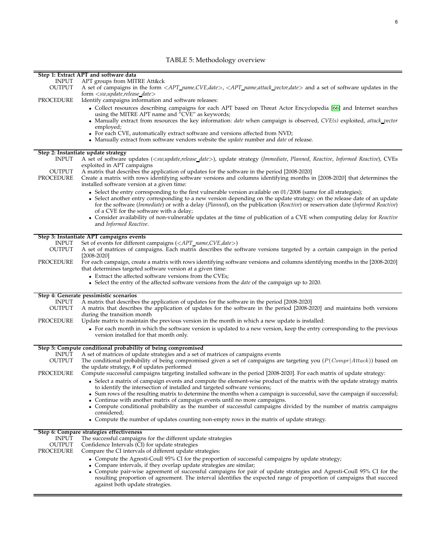# TABLE 5: Methodology overview

<span id="page-5-0"></span>

|                               | Step 1: Extract APT and software data                                                                                                                                                                        |
|-------------------------------|--------------------------------------------------------------------------------------------------------------------------------------------------------------------------------------------------------------|
| <b>INPUT</b><br><b>OUTPUT</b> | APT groups from MITRE Att&ck<br>A set of campaigns in the form <apt_name,cve,date>, <apt_name,attack_vector,date> and a set of software updates in the</apt_name,attack_vector,date></apt_name,cve,date>     |
|                               | $form < sw, update, release\_date>$                                                                                                                                                                          |
| PROCEDURE                     | Identify campaigns information and software releases:                                                                                                                                                        |
|                               | • Collect resources describing campaigns for each APT based on Threat Actor Encyclopedia [66] and Internet searches                                                                                          |
|                               | using the MITRE APT name and "CVE" as keywords;                                                                                                                                                              |
|                               | • Manually extract from resources the key information: date when campaign is observed, $CVE(s)$ exploited, attack_vector<br>employed;                                                                        |
|                               | • For each CVE, automatically extract software and versions affected from NVD;                                                                                                                               |
|                               | • Manually extract from software vendors website the <i>update</i> number and <i>date</i> of release.                                                                                                        |
|                               |                                                                                                                                                                                                              |
| <b>INPUT</b>                  | Step 2: Instantiate update strategy<br>A set of software updates ( <sw,update,release_date>), update strategy (Immediate, Planned, Reactive, Informed Reactive), CVEs</sw,update,release_date>               |
|                               | exploited in APT campaigns                                                                                                                                                                                   |
| <b>OUTPUT</b>                 | A matrix that describes the application of updates for the software in the period [2008-2020]                                                                                                                |
| PROCEDURE                     | Create a matrix with rows identifying software versions and columns identifying months in [2008-2020] that determines the<br>installed software version at a given time:                                     |
|                               | • Select the entry corresponding to the first vulnerable version available on $01/2008$ (same for all strategies);                                                                                           |
|                               | • Select another entry corresponding to a new version depending on the update strategy: on the release date of an update                                                                                     |
|                               | for the software (Immediate) or with a delay (Planned), on the publication (Reactive) or reservation date (Informed Reactive)<br>of a CVE for the software with a delay;                                     |
|                               | • Consider availability of non-vulnerable updates at the time of publication of a CVE when computing delay for Reactive                                                                                      |
|                               | and Informed Reactive.                                                                                                                                                                                       |
|                               | Step 3: Instantiate APT campaigns events                                                                                                                                                                     |
| <b>INPUT</b>                  | Set of events for different campaigns ( <apt_name,cve,date>)</apt_name,cve,date>                                                                                                                             |
| <b>OUTPUT</b>                 | A set of matrices of campaigns. Each matrix describes the software versions targeted by a certain campaign in the period                                                                                     |
|                               | $[2008 - 2020]$                                                                                                                                                                                              |
| PROCEDURE                     | For each campaign, create a matrix with rows identifying software versions and columns identifying months in the [2008-2020]<br>that determines targeted software version at a given time:                   |
|                               | • Extract the affected software versions from the CVEs;                                                                                                                                                      |
|                               | • Select the entry of the affected software versions from the <i>date</i> of the campaign up to 2020.                                                                                                        |
|                               | Step 4: Generate pessimistic scenarios                                                                                                                                                                       |
| <b>INPUT</b>                  | A matrix that describes the application of updates for the software in the period [2008-2020]                                                                                                                |
| <b>OUTPUT</b>                 | A matrix that describes the application of updates for the software in the period [2008-2020] and maintains both versions                                                                                    |
| PROCEDURE                     | during the transition month<br>Update matrix to maintain the previous version in the month in which a new update is installed:                                                                               |
|                               | • For each month in which the software version is updated to a new version, keep the entry corresponding to the previous                                                                                     |
|                               | version installed for that month only.                                                                                                                                                                       |
|                               |                                                                                                                                                                                                              |
| <b>INPUT</b>                  | Step 5: Compute conditional probability of being compromised                                                                                                                                                 |
| <b>OUTPUT</b>                 | A set of matrices of update strategies and a set of matrices of campaigns events<br>The conditional probability of being compromised given a set of campaigns are targeting you $(P(Compr Attack))$ based on |
|                               | the update strategy, # of updates performed                                                                                                                                                                  |
| PROCEDURE                     | Compute successful campaigns targeting installed software in the period [2008-2020]. For each matrix of update strategy:                                                                                     |
|                               | • Select a matrix of campaign events and compute the element-wise product of the matrix with the update strategy matrix                                                                                      |
|                               | to identify the intersection of installed and targeted software versions;<br>• Sum rows of the resulting matrix to determine the months when a campaign is successful, save the campaign if successful;      |
|                               | • Continue with another matrix of campaign events until no more campaigns.                                                                                                                                   |
|                               | • Compute conditional probability as the number of successful campaigns divided by the number of matrix campaigns                                                                                            |
|                               | considered;                                                                                                                                                                                                  |
|                               | • Compute the number of updates counting non-empty rows in the matrix of update strategy.                                                                                                                    |
|                               | Step 6: Compare strategies effectiveness                                                                                                                                                                     |
| <b>INPUT</b>                  | The successful campaigns for the different update strategies                                                                                                                                                 |
| <b>OUTPUT</b><br>PROCEDURE    | Confidence Intervals (CI) for update strategies                                                                                                                                                              |
|                               | Compare the CI intervals of different update strategies:                                                                                                                                                     |
|                               | • Compute the Agresti-Coull 95% CI for the proportion of successful campaigns by update strategy;<br>• Compare intervals, if they overlap update strategies are similar;                                     |
|                               | • Compute pair-wise agreement of successful campaigns for pair of update strategies and Agresti-Coull 95% CI for the                                                                                         |
|                               | resulting proportion of agreement. The interval identifies the expected range of proportion of campaigns that succeed                                                                                        |
|                               | against both update strategies.                                                                                                                                                                              |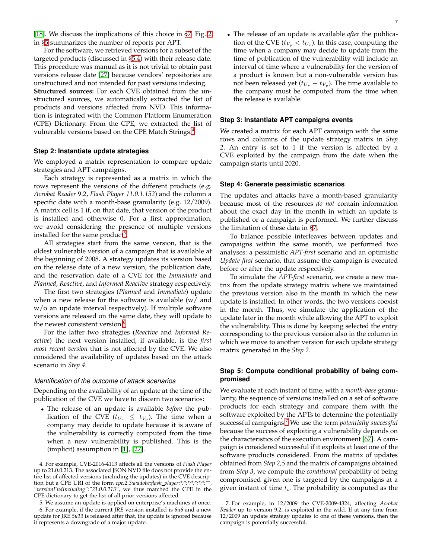[\[18\]](#page-19-1). We discuss the implications of this choice in [§7.](#page-16-0) Fig. [2](#page-7-0) in [§5](#page-16-1) summarizes the number of reports per APT.

For the software, we retrieved versions for a subset of the targeted products (discussed in [§5.4\)](#page-8-0) with their release date. This procedure was manual as it is not trivial to obtain past versions release date [27] because vendors' repositories are unstructured and not intended for past versions indexing. **Structured sources:** For each CVE obtained from the unstructured sources, we automatically extracted the list of products and versions affected from NVD. This information is integrated with the Common Platform Enumeration (CPE) Dictionary. From the CPE, we extracted the list of vulnerable versions based on the CPE Match Strings.<sup>[4](#page-14-4)</sup>

## **Step 2: Instantiate update strategies**

We employed a matrix representation to compare update strategies and APT campaigns.

Each strategy is represented as a matrix in which the rows represent the versions of the different products (e.g. *Acrobat Reader* 9.2, *Flash Player 11.0.1.152*) and the column a specific date with a month-base granularity (e.g. 12/2009). A matrix cell is 1 if, on that date, that version of the product is installed and otherwise 0. For a first approximation, we avoid considering the presence of multiple versions installed for the same product<sup>[5](#page-14-5)</sup>.

All strategies start from the same version, that is the oldest vulnerable version of a campaign that is available at the beginning of 2008. A strategy updates its version based on the release date of a new version, the publication date, and the reservation date of a CVE for the *Immediate* and *Planned*, *Reactive*, and *Informed Reactive* strategy respectively.

The first two strategies (*Planned* and *Immediate*) update when a new release for the software is available (w/ and w/o an update interval respectively). If multiple software versions are released on the same date, they will update to the newest consistent version.<sup>[6](#page-15-1)</sup>

For the latter two strategies (*Reactive* and *Informed Reactive*) the next version installed, if available, is the *first most recent version* that is not affected by the CVE. We also considered the availability of updates based on the attack scenario in *Step 4*.

#### *Identification of the outcome of attack scenarios*

Depending on the availability of an update at the time of the publication of the CVE we have to discern two scenarios:

• The release of an update is available *before* the publication of the CVE  $(t_{U_r} \leq t_{V_p})$ . The time when a company may decide to update because it is aware of the vulnerability is correctly computed from the time when a new vulnerability is published. This is the (implicit) assumption in [1], [27].

5. We assume an update is applied on enterprise's machines at once.

6. For example, if the current *JRE* version installed is *6u6* and a new update for JRE *5u13* is released after that, the update is ignored because it represents a downgrade of a major update.

• The release of an update is available *after* the publication of the CVE ( $t_{V_p} < t_{U_r}$ ). In this case, computing the time when a company may decide to update from the time of publication of the vulnerability will include an interval of time where a vulnerability for the version of a product is known but a non-vulnerable version has not been released yet  $(t_{U_r} - t_{V_p})$ . The time available to the company must be computed from the time when the release is available.

### **Step 3: Instantiate APT campaigns events**

We created a matrix for each APT campaign with the same rows and columns of the update strategy matrix in *Step 2*. An entry is set to 1 if the version is affected by a CVE exploited by the campaign from the date when the campaign starts until 2020.

#### **Step 4: Generate pessimistic scenarios**

The updates and attacks have a month-based granularity because most of the resources *do not* contain information about the exact day in the month in which an update is published or a campaign is performed. We further discuss the limitation of these data in [§7.](#page-16-0)

To balance possible interleaves between updates and campaigns within the same month, we performed two analyses: a pessimistic *APT-first* scenario and an optimistic *Update-first* scenario, that assume the campaign is executed before or after the update respectively.

To simulate the *APT-first* scenario, we create a new matrix from the update strategy matrix where we maintained the previous version also in the month in which the new update is installed. In other words, the two versions coexist in the month. Thus, we simulate the application of the update later in the month while allowing the APT to exploit the vulnerability. This is done by keeping selected the entry corresponding to the previous version also in the column in which we move to another version for each update strategy matrix generated in the *Step 2*.

# **Step 5: Compute conditional probability of being compromised**

We evaluate at each instant of time, with a *month-base* granularity, the sequence of versions installed on a set of software products for each strategy and compare them with the software exploited by the APTs to determine the potentially successful campaigns.[7](#page-6-0) We use the term *potentially successful* because the success of exploiting a vulnerability depends on the characteristics of the execution environment [67]. A campaign is considered successful if it exploits at least one of the software products considered. From the matrix of updates obtained from *Step 2,5* and the matrix of campaigns obtained from *Step 3*, we compute the *conditional* probability of being compromised given one is targeted by the campaigns at a given instant of time  $t_i$ . The probability is computed as the

<sup>4.</sup> For example, CVE-2016-4113 affects all the versions of *Flash Player* up to 21.0.0.213. The associated JSON NVD file does not provide the entire list of affected versions (including the updates) in the CVE description but a CPE URI of the form *cpe:2.3:a:adobe:flash player:\*:\*:\*:\*:\*:\*:\*:\*", "versionEndIncluding":"21.0.0.213"*, we thus matched the CPE in the CPE dictionary to get the list of all prior versions affected.

<span id="page-6-0"></span><sup>7.</sup> For example, in 12/2009 the CVE-2009-4324, affecting *Acrobat Reader* up to version 9.2, is exploited in the wild. If at any time from 12/2009 an update strategy updates to one of these versions, then the campaign is potentially successful.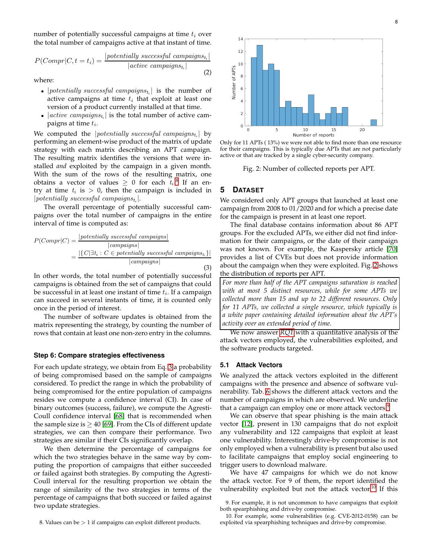number of potentially successful campaigns at time  $t_i$  over the total number of campaigns active at that instant of time.

<span id="page-7-5"></span>
$$
P(Compr|C, t = t_i) = \frac{|potentially\ successful\ campaigns_{t_i}|}{|active\ campaigns_{t_i}|}
$$
\n(2)

where:

- |potentially successful campaigns $t_i$ | is the number of active campaigns at time  $t_i$  that exploit at least one version of a product currently installed at that time.
- $|active\text{ }campaging_{t_i}|$  is the total number of active campaigns at time  $t_i$ .

We computed the  $|potentially$  successful campaigns $t_i$  by performing an element-wise product of the matrix of update strategy with each matrix describing an APT campaign. The resulting matrix identifies the versions that were installed *and* exploited by the campaign in a given month. With the sum of the rows of the resulting matrix, one obtains a vector of values  $\geq 0$  for each  $t_i$ .<sup>[8](#page-7-1)</sup> If an entry at time  $t_i$  is  $> 0$ , then the campaign is included in  $|potentially$  successful campaigns<sub>t<sub>i</sub></sub>.

The overall percentage of potentially successful campaigns over the total number of campaigns in the entire interval of time is computed as:

<span id="page-7-2"></span>
$$
P(Compr|C) = \frac{|potentially\ successful\ campaigns|}{|compaigns|}
$$

$$
= \frac{|\{C|\exists t_i : C \in potentially\ successful\ campaigns|}{|compaigns|}
$$
(3)

In other words, the total number of potentially successful campaigns is obtained from the set of campaigns that could be successful in at least one instant of time  $t_i$ . If a campaign can succeed in several instants of time, it is counted only once in the period of interest.

The number of software updates is obtained from the matrix representing the strategy, by counting the number of rows that contain at least one non-zero entry in the columns.

## **Step 6: Compare strategies effectiveness**

For each update strategy, we obtain from Eq. [3](#page-7-2) a probability of being compromised based on the sample of campaigns considered. To predict the range in which the probability of being compromised for the entire population of campaigns resides we compute a confidence interval (CI). In case of binary outcomes (success, failure), we compute the Agresti-Coull confidence interval [\[68\]](#page-13-6) that is recommended when the sample size is  $\geq$  40 [69]. From the CIs of different update strategies, we can then compare their performance. Two strategies are similar if their CIs significantly overlap.

We then determine the percentage of campaigns for which the two strategies behave in the same way by computing the proportion of campaigns that either succeeded or failed against both strategies. By computing the Agresti-Coull interval for the resulting proportion we obtain the range of similarity of the two strategies in terms of the percentage of campaigns that both succeed or failed against two update strategies.

<span id="page-7-1"></span>8. Values can be > 1 if campaigns can exploit different products.

<span id="page-7-0"></span>

Only for 11 APTs ( 13%) we were not able to find more than one resource for their campaigns. This is typically due APTs that are not particularly active or that are tracked by a single cyber-security company.

Fig. 2: Number of collected reports per APT.

# **5 DATASET**

We considered only APT groups that launched at least one campaign from 2008 to 01/2020 and for which a precise date for the campaign is present in at least one report.

The final database contains information about 86 APT groups. For the excluded APTs, we either did not find information for their campaigns, or the date of their campaign was not known. For example, the Kaspersky article [\[70\]](#page-13-7) provides a list of CVEs but does not provide information about the campaign when they were exploited. Fig. [2](#page-7-0) shows the distribution of reports per APT.

*For more than half of the APT campaigns saturation is reached with at most 5 distinct resources, while for some APTs we collected more than 15 and up to 22 different resources. Only for 11 APTs, we collected a single resource, which typically is a white paper containing detailed information about the APT's activity over an extended period of time.*

We now answer *[RQ1](#page-14-6)* with a quantitative analysis of the attack vectors employed, the vulnerabilities exploited, and the software products targeted.

## **5.1 Attack Vectors**

We analyzed the attack vectors exploited in the different campaigns with the presence and absence of software vulnerability. Tab. [6](#page-18-5) shows the different attack vectors and the number of campaigns in which are observed. We underline that a campaign can employ one or more attack vectors.<sup>[9](#page-7-3)</sup>

We can observe that spear phishing is the main attack vector [\[12\]](#page-19-0), present in 130 campaigns that do not exploit any vulnerability and 122 campaigns that exploit at least one vulnerability. Interestingly drive-by compromise is not only employed when a vulnerability is present but also used to facilitate campaigns that employ social engineering to trigger users to download malware.

We have 47 campaigns for which we do not know the attack vector. For 9 of them, the report identified the vulnerability exploited but not the attack vector.<sup>[10](#page-7-4)</sup> If this

<sup>9.</sup> For example, it is not uncommon to have campaigns that exploit both spearphishing and drive-by compromise.

<span id="page-7-4"></span><span id="page-7-3"></span><sup>10.</sup> For example, some vulnerabilities (e.g. CVE-2012-0158) can be exploited via spearphishing techniques and drive-by compromise.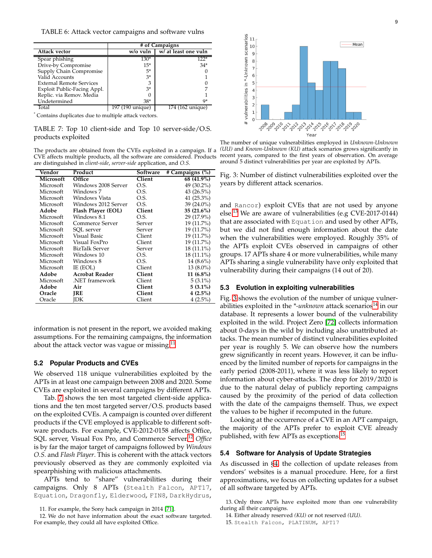|                                                                                                                                                                                                                               |                  | # of Campaigns       |
|-------------------------------------------------------------------------------------------------------------------------------------------------------------------------------------------------------------------------------|------------------|----------------------|
| Attack vector                                                                                                                                                                                                                 | w/o vuln         | w/ at least one vuln |
| Spear phishing                                                                                                                                                                                                                | $130*$           | $122*$               |
| Drive-by Compromise                                                                                                                                                                                                           | $15*$            | $34*$                |
| Supply Chain Compromise                                                                                                                                                                                                       | 5*               |                      |
| Valid Accounts                                                                                                                                                                                                                | $3*$             |                      |
| <b>External Remote Services</b>                                                                                                                                                                                               |                  |                      |
| Exploit Public-Facing Appl.                                                                                                                                                                                                   | $3*$             |                      |
| Replic. via Remov. Media                                                                                                                                                                                                      |                  |                      |
| Undetermined                                                                                                                                                                                                                  | $38*$            | 9*                   |
| Total                                                                                                                                                                                                                         | 197 (190 unique) | 174 (162 unique)     |
| $*$ and $*$ and $*$ and $*$ and $*$ and $*$ and $*$ and $*$ and $*$ and $*$ and $*$ and $*$ and $*$ and $*$ and $*$ and $*$ and $*$ and $*$ and $*$ and $*$ and $*$ and $*$ and $*$ and $*$ and $*$ and $*$ and $*$ and $*$ a |                  |                      |

Contains duplicates due to multiple attack vectors.

TABLE 7: Top 10 client-side and Top 10 server-side/O.S. products exploited

The products are obtained from the CVEs exploited in a campaign. If a CVE affects multiple products, all the software are considered. Products are distinguished in *client-side*, *server-side* application, and *O.S.*

| Vendor    | Product                | Software | # Campaigns (%) |
|-----------|------------------------|----------|-----------------|
| Microsoft | Office                 | Client   | 68 (41.9%)      |
| Microsoft | Windows 2008 Server    | O.S.     | 49 (30.2%)      |
| Microsoft | Windows 7              | O.S.     | 43 $(26.5\%)$   |
| Microsoft | Windows Vista          | O.S.     | 41 $(25.3\%)$   |
| Microsoft | Windows 2012 Server    | O.S.     | $39(24.0\%)$    |
| Adobe     | Flash Player (EOL)     | Client   | $35(21.6\%)$    |
| Microsoft | Windows 8.1            | O.S.     | 29 (17.9%)      |
| Microsoft | <b>Commerce Server</b> | Server   | 19 (11.7%)      |
| Microsoft | SOL server             | Server   | 19 (11.7%)      |
| Microsoft | Visual Basic           | Client   | 19 (11.7%)      |
| Microsoft | Visual FoxPro          | Client   | 19 (11.7%)      |
| Microsoft | BizTalk Server         | Server   | 18 (11.1%)      |
| Microsoft | Windows 10             | O.S.     | 18 (11.1%)      |
| Microsoft | Windows 8              | O.S.     | 14 $(8.6\%)$    |
| Microsoft | IE (EOL)               | Client   | $13(8.0\%)$     |
| Adobe     | <b>Acrobat Reader</b>  | Client   | $11(6.8\%)$     |
| Microsoft | .NET framework         | Client   | $5(3.1\%)$      |
| Adobe     | Air                    | Client   | $5(3.1\%)$      |
| Oracle    | JRE                    | Client   | $4(2.5\%)$      |
| Oracle    | IDК                    | Client   | $4(2.5\%)$      |

information is not present in the report, we avoided making assumptions. For the remaining campaigns, the information about the attack vector was vague or missing.<sup>[11](#page-8-1)</sup>

## **5.2 Popular Products and CVEs**

We observed 118 unique vulnerabilities exploited by the APTs in at least one campaign between 2008 and 2020. Some CVEs are exploited in several campaigns by different APTs.

Tab. [7](#page-18-6) shows the ten most targeted client-side applications and the ten most targeted server/O.S. products based on the exploited CVEs. A campaign is counted over different products if the CVE employed is applicable to different software products. For example, CVE-2012-0158 affects Office, SQL server, Visual Fox Pro, and Commerce Server.[12](#page-8-2) *Office* is by far the major target of campaigns followed by *Windows O.S.* and *Flash Player*. This is coherent with the attack vectors previously observed as they are commonly exploited via spearphishing with malicious attachments.

APTs tend to "share" vulnerabilities during their campaigns. Only 8 APTs (Stealth Falcon, APT17, Equation, Dragonfly, Elderwood, FIN8, DarkHydrus,

<span id="page-8-4"></span>

The number of unique vulnerabilities employed in *Unknown-Unknown (UU)* and *Known-Unknown (KU)* attack scenarios grows significantly in recent years, compared to the first years of observation. On average around 5 distinct vulnerabilities per year are exploited by APTs.

Fig. 3: Number of distinct vulnerabilities exploited over the years by different attack scenarios.

and Rancor) exploit CVEs that are not used by anyone else.[13](#page-8-3) We are aware of vulnerabilities (e.g CVE-2017-0144) that are associated with Equation and used by other APTs, but we did not find enough information about the date when the vulnerabilities were employed. Roughly 35% of the APTs exploit CVEs observed in campaigns of other groups. 17 APTs share 4 or more vulnerabilities, while many APTs sharing a single vulnerability have only exploited that vulnerability during their campaigns (14 out of 20).

#### **5.3 Evolution in exploiting vulnerabilities**

Fig. [3](#page-8-4) shows the evolution of the number of unique vulnerabilities exploited in the *\*-unknown* attack scenarios<sup>[14](#page-8-5)</sup> in our database. It represents a lower bound of the vulnerability exploited in the wild. Project Zero [\[72\]](#page-13-9) collects information about 0-days in the wild by including also unattributed attacks. The mean number of distinct vulnerabilities exploited per year is roughly 5. We can observe how the numbers grew significantly in recent years. However, it can be influenced by the limited number of reports for campaigns in the early period (2008-2011), where it was less likely to report information about cyber-attacks. The drop for 2019/2020 is due to the natural delay of publicly reporting campaigns caused by the proximity of the period of data collection with the date of the campaigns themself. Thus, we expect the values to be higher if recomputed in the future.

Looking at the occurrence of a CVE in an APT campaign, the majority of the APTs prefer to exploit CVE already published, with few APTs as exceptions.<sup>[15](#page-8-6)</sup>

## <span id="page-8-0"></span>**5.4 Software for Analysis of Update Strategies**

As discussed in [§4,](#page-14-7) the collection of update releases from vendors' websites is a manual procedure. Here, for a first approximations, we focus on collecting updates for a subset of all software targeted by APTs.

<span id="page-8-6"></span><span id="page-8-5"></span>15. Stealth Falcon, PLATINUM, APT17

<span id="page-8-2"></span><span id="page-8-1"></span><sup>11.</sup> For example, the Sony hack campaign in 2014 [\[71\]](#page-13-8).

<sup>12.</sup> We do not have information about the exact software targeted. For example, they could all have exploited Office.

<sup>13.</sup> Only three APTs have exploited more than one vulnerability during all their campaigns.

<span id="page-8-3"></span><sup>14.</sup> Either already reserved *(KU)* or not reserved *(UU)*.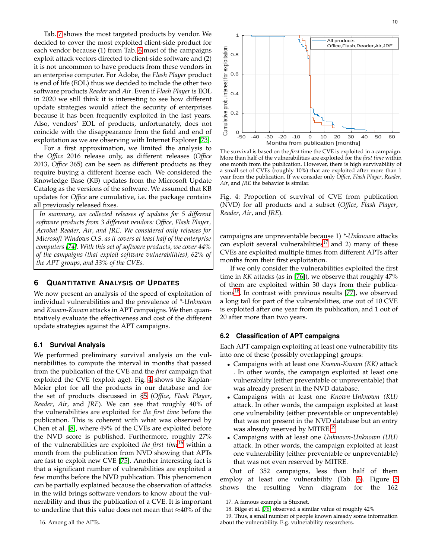Tab. [7](#page-18-6) shows the most targeted products by vendor. We decided to cover the most exploited client-side product for each vendor because (1) from Tab. [6](#page-18-5) most of the campaigns exploit attack vectors directed to client-side software and (2) it is not uncommon to have products from these vendors in an enterprise computer. For Adobe, the *Flash Player* product is end of life (EOL) thus we decided to include the other two software products *Reader* and *Air*. Even if *Flash Player* is EOL in 2020 we still think it is interesting to see how different update strategies would affect the security of enterprises because it has been frequently exploited in the last years. Also, vendors' EOL of products, unfortunately, does not coincide with the disappearance from the field and end of exploitation as we are observing with Internet Explorer [\[73\]](#page-13-10).

For a first approximation, we limited the analysis to the *Office* 2016 release only, as different releases (*Office* 2013, *Office* 365) can be seen as different products as they require buying a different license each. We considered the Knowledge Base (KB) updates from the Microsoft Update Catalog as the versions of the software. We assumed that KB updates for *Office* are cumulative, i.e. the package contains all previously released fixes.

*In summary, we collected releases of updates for 5 different software products from 3 different vendors: Office, Flash Player, Acrobat Reader, Air, and JRE. We considered only releases for Microsoft Windows O.S. as it covers at least half of the enterprise computers [\[74\]](#page-13-11). With this set of software products, we cover 44% of the campaigns (that exploit software vulnerabilities), 62% of the APT groups, and 33% of the CVEs.*

# **6 QUANTITATIVE ANALYSIS OF UPDATES**

We now present an analysis of the speed of exploitation of individual vulnerabilities and the prevalence of *\*-Unknown* and *Known-Known* attacks in APT campaigns. We then quantitatively evaluate the effectiveness and cost of the different update strategies against the APT campaigns.

#### **6.1 Survival Analysis**

We performed preliminary survival analysis on the vulnerabilities to compute the interval in months that passed from the publication of the CVE and the *first* campaign that exploited the CVE (exploit age). Fig. [4](#page-9-0) shows the Kaplan-Meier plot for all the products in our database and for the set of products discussed in [§5](#page-16-1) (*Office*, *Flash Player*, *Reader*, *Air*, and *JRE*). We can see that roughly 40% of the vulnerabilities are exploited for *the first time* before the publication. This is coherent with what was observed by Chen et al. [\[8\]](#page-18-0), where 49% of the CVEs are exploited before the NVD score is published. Furthermore, roughly 27% of the vulnerabilities are exploited *the first time*[16](#page-9-1) within a month from the publication from NVD showing that APTs are fast to exploit new CVE [\[75\]](#page-13-12). Another interesting fact is that a significant number of vulnerabilities are exploited a few months before the NVD publication. This phenomenon can be partially explained because the observation of attacks in the wild brings software vendors to know about the vulnerability and thus the publication of a CVE. It is important to underline that this value does not mean that ≈40% of the

<span id="page-9-0"></span>

The survival is based on the *first* time the CVE is exploited in a campaign. More than half of the vulnerabilities are exploited for the *first time* within one month from the publication. However, there is high survivability of a small set of CVEs (roughly 10%) that are exploited after more than 1 year from the publication. If we consider only *Office*, *Flash Player*, *Reader*, *Air*, and *JRE* the behavior is similar.

Fig. 4: Proportion of survival of CVE from publication (NVD) for all products and a subset (*Office*, *Flash Player*, *Reader*, *Air*, and *JRE*).

campaigns are unpreventable because 1) *\*-Unknown* attacks can exploit several vulnerabilities<sup>[17](#page-9-2)</sup> and 2) many of these CVEs are exploited multiple times from different APTs after months from their first exploitation.

If we only consider the vulnerabilities exploited the first time in *KK* attacks (as in [76]), we observe that roughly 47% of them are exploited within 30 days from their publica-tions<sup>[18](#page-9-3)</sup>. In contrast with previous results [77], we observed a long tail for part of the vulnerabilities, one out of 10 CVE is exploited after one year from its publication, and 1 out of 20 after more than two years.

## **6.2 Classification of APT campaigns**

Each APT campaign exploiting at least one vulnerability fits into one of these (possibly overlapping) groups:

- Campaigns with at least one *Known-Known (KK)* attack . In other words, the campaign exploited at least one vulnerability (either preventable or unpreventable) that was already present in the NVD database.
- Campaigns with at least one *Known-Unknown (KU)* attack. In other words, the campaign exploited at least one vulnerability (either preventable or unpreventable) that was not present in the NVD database but an entry was already reserved by MITRE.<sup>[19](#page-9-4)</sup>
- Campaigns with at least one *Unknown-Unknown (UU)* attack. In other words, the campaign exploited at least one vulnerability (either preventable or unpreventable) that was not even reserved by MITRE.

Out of 352 campaigns, less than half of them employ at least one vulnerability (Tab. [6\)](#page-18-5). Figure [5](#page-10-0) shows the resulting Venn diagram for the 162

<sup>17.</sup> A famous example is Stuxnet.

<span id="page-9-4"></span><span id="page-9-3"></span><span id="page-9-2"></span><sup>18.</sup> Bilge et al. [76] observed a similar value of roughly 42%

<span id="page-9-1"></span><sup>19.</sup> Thus, a small number of people known already some information about the vulnerability. E.g. vulnerability researchers.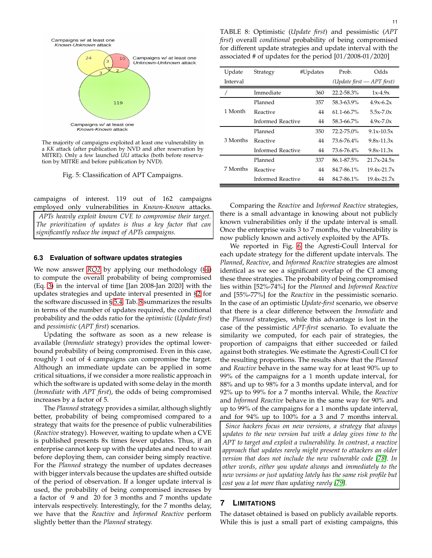<span id="page-10-0"></span>Campaigns w/ at least one Known-Unknown attack Campaigns w/ at least one  $10$ Unknown-Unknown attack



The majority of campaigns exploited at least one vulnerability in a *KK* attack (after publication by NVD and after reservation by MITRE). Only a few launched *UU* attacks (both before reservation by MITRE and before publication by NVD).

119

Fig. 5: Classification of APT Campaigns.

campaigns of interest. 119 out of 162 campaigns

employed only vulnerabilities in *Known-Known* attacks. *APTs heavily exploit known CVE to compromise their target. The prioritization of updates is thus a key factor that can significantly reduce the impact of APTs campaigns.*

## **6.3 Evaluation of software updates strategies**

We now answer *[RQ2](#page-14-0)* by applying our methodology ([§4\)](#page-14-7) to compute the overall probability of being compromised (Eq. [3\)](#page-7-2) in the interval of time [Jan 2008-Jan 2020] with the updates strategies and update interval presented in [§2](#page-14-8) for the software discussed in § [5.4.](#page-8-0) Tab. [8](#page-10-1) summarizes the results in terms of the number of updates required, the conditional probability and the odds ratio for the *optimistic* (*Update first*) and *pessimistic* (*APT first*) scenarios.

Updating the software as soon as a new release is available (*Immediate* strategy) provides the optimal lowerbound probability of being compromised. Even in this case, roughly 1 out of 4 campaigns can compromise the target. Although an immediate update can be applied in some critical situations, if we consider a more realistic approach in which the software is updated with some delay in the month (*Immediate* with *APT first*), the odds of being compromised increases by a factor of 5.

The *Planned* strategy provides a similar, although slightly better, probability of being compromised compared to a strategy that waits for the presence of public vulnerabilities (*Reactive* strategy). However, waiting to update when a CVE is published presents 8x times fewer updates. Thus, if an enterprise cannot keep up with the updates and need to wait before deploying them, can consider being simply reactive. For the *Planned* strategy the number of updates decreases with bigger intervals because the updates are shifted outside of the period of observation. If a longer update interval is used, the probability of being compromised increases by a factor of 9 and 20 for 3 months and 7 months update intervals respectively. Interestingly, for the 7 months delay, we have that the *Reactive* and *Informed Reactive* perform slightly better than the *Planned* strategy.

<span id="page-10-1"></span>TABLE 8: Optimistic (*Update first*) and pessimistic (*APT first*) overall *conditional* probability of being compromised for different update strategies and update interval with the associated # of updates for the period [01/2008-01/2020]

| Update   | Strategy          | #Updates | Prob.           | Odds                                        |
|----------|-------------------|----------|-----------------|---------------------------------------------|
| Interval |                   |          |                 | ( <i>Update first</i> $-APT$ <i>first</i> ) |
|          | Immediate         | 360      | $22.2 - 58.3\%$ | $1x-4.9x$                                   |
|          | Planned           | 357      | 58.3-63.9%      | $4.9x - 6.2x$                               |
| 1 Month  | Reactive          | 44       | $61.1 - 66.7\%$ | $5.5x - 7.0x$                               |
|          | Informed Reactive | 44       | 58.3-66.7%      | $4.9x - 7.0x$                               |
|          | Planned           | 350      | $72.2 - 75.0\%$ | $9.1x - 10.5x$                              |
| 3 Months | Reactive          | 44       | 73.6-76.4%      | $9.8x - 11.3x$                              |
|          | Informed Reactive | 44       | 73.6-76.4%      | $9.8x - 11.3x$                              |
|          | Planned           | 337      | 86.1-87.5%      | $21.7x - 24.5x$                             |
| 7 Months | Reactive          | 44       | 84.7-86.1%      | $19.4x - 21.7x$                             |
|          | Informed Reactive | 44       | 84.7-86.1%      | $19.4x - 21.7x$                             |

Comparing the *Reactive* and *Informed Reactive* strategies, there is a small advantage in knowing about not publicly known vulnerabilities only if the update interval is small. Once the enterprise waits 3 to 7 months, the vulnerability is now publicly known and actively exploited by the APTs.

We reported in Fig. [6](#page-11-0) the Agresti-Coull Interval for each update strategy for the different update intervals. The *Planned*, *Reactive*, and *Informed Reactive* strategies are almost identical as we see a significant overlap of the CI among these three strategies. The probability of being compromised lies within [52%-74%] for the *Planned* and *Informed Reactive* and [55%-77%] for the *Reactive* in the pessimistic scenario. In the case of an optimistic *Update-first* scenario, we observe that there is a clear difference between the *Immediate* and the *Planned* strategies, while this advantage is lost in the case of the pessimistic *APT-first* scenario. To evaluate the similarity we computed, for each pair of strategies, the proportion of campaigns that either succeeded or failed against both strategies. We estimate the Agresti-Coull CI for the resulting proportions. The results show that the *Planned* and *Reactive* behave in the same way for at least 90% up to 99% of the campaigns for a 1 month update interval, for 88% and up to 98% for a 3 months update interval, and for 92% up to 99% for a 7 months interval. While, the *Reactive* and *Informed Reactive* behave in the same way for 90% and up to 99% of the campaigns for a 1 months update interval, and for 94% up to 100% for a 3 and 7 months interval.

*Since hackers focus on new versions, a strategy that always updates to the new version but with a delay gives time to the APT to target and exploit a vulnerability. In contrast, a reactive approach that updates rarely might present to attackers an older version that does not include the new vulnerable code [78]. In other words, either you update always* and *immediately to the new versions or just updating lately has the same risk profile but cost you a lot more than updating rarely [79].*

# **7 LIMITATIONS**

The dataset obtained is based on publicly available reports. While this is just a small part of existing campaigns, this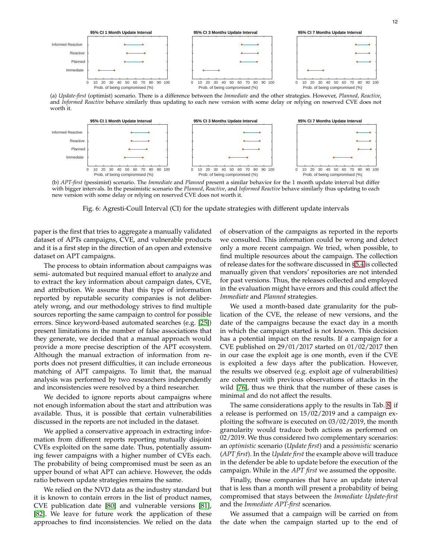<span id="page-11-0"></span>

(a) *Update-first* (optimist) scenario. There is a difference between the *Immediate* and the other strategies. However, *Planned*, *Reactive*, and *Informed Reactive* behave similarly thus updating to each new version with some delay or relying on reserved CVE does not worth it.



(b) *APT-first* (pessimist) scenario. The *Immediate* and *Planned* present a similar behavior for the 1 month update interval but differ with bigger intervals. In the pessimistic scenario the *Planned*, *Reactive*, and *Informed Reactive* behave similarly thus updating to each new version with some delay or relying on reserved CVE does not worth it.

Fig. 6: Agresti-Coull Interval (CI) for the update strategies with different update intervals

paper is the first that tries to aggregate a manually validated dataset of APTs campaigns, CVE, and vulnerable products and it is a first step in the direction of an open and extensive dataset on APT campaigns.

The process to obtain information about campaigns was semi- automated but required manual effort to analyze and to extract the key information about campaign dates, CVE, and attribution. We assume that this type of information reported by reputable security companies is not deliberately wrong, and our methodology strives to find multiple sources reporting the same campaign to control for possible errors. Since keyword-based automated searches (e.g. [25]) present limitations in the number of false associations that they generate, we decided that a manual approach would provide a more precise description of the APT ecosystem. Although the manual extraction of information from reports does not present difficulties, it can include erroneous matching of APT campaigns. To limit that, the manual analysis was performed by two researchers independently and inconsistencies were resolved by a third researcher.

We decided to ignore reports about campaigns where not enough information about the start and attribution was available. Thus, it is possible that certain vulnerabilities discussed in the reports are not included in the dataset.

We applied a conservative approach in extracting information from different reports reporting mutually disjoint CVEs exploited on the same date. Thus, potentially assuming fewer campaigns with a higher number of CVEs each. The probability of being compromised must be seen as an upper bound of what APT can achieve. However, the odds ratio between update strategies remains the same.

We relied on the NVD data as the industry standard but it is known to contain errors in the list of product names, CVE publication date [\[80\]](#page-13-13) and vulnerable versions [81], [82]. We leave for future work the application of these approaches to find inconsistencies. We relied on the data

of observation of the campaigns as reported in the reports we consulted. This information could be wrong and detect only a more recent campaign. We tried, when possible, to find multiple resources about the campaign. The collection of release dates for the software discussed in [§5.4](#page-8-0) is collected manually given that vendors' repositories are not intended for past versions. Thus, the releases collected and employed in the evaluation might have errors and this could affect the *Immediate* and *Planned* strategies.

We used a month-based date granularity for the publication of the CVE, the release of new versions, and the date of the campaigns because the exact day in a month in which the campaign started is not known. This decision has a potential impact on the results. If a campaign for a CVE published on 29/01/2017 started on 01/02/2017 then in our case the exploit age is one month, even if the CVE is exploited a few days after the publication. However, the results we observed (e.g. exploit age of vulnerabilities) are coherent with previous observations of attacks in the wild [76], thus we think that the number of these cases is minimal and do not affect the results.

The same considerations apply to the results in Tab. [8:](#page-10-1) if a release is performed on 15/02/2019 and a campaign exploiting the software is executed on 03/02/2019, the month granularity would traduce both actions as performed on 02/2019. We thus considered two complementary scenarios: an *optimistic* scenario (*Update first*) and a *pessimistic* scenario (*APT first*). In the *Update first* the example above will traduce in the defender be able to update before the execution of the campaign. While in the *APT first* we assumed the opposite.

Finally, those companies that have an update interval that is less than a month will present a probability of being compromised that stays between the *Immediate Update-first* and the *Immediate APT-first* scenarios.

We assumed that a campaign will be carried on from the date when the campaign started up to the end of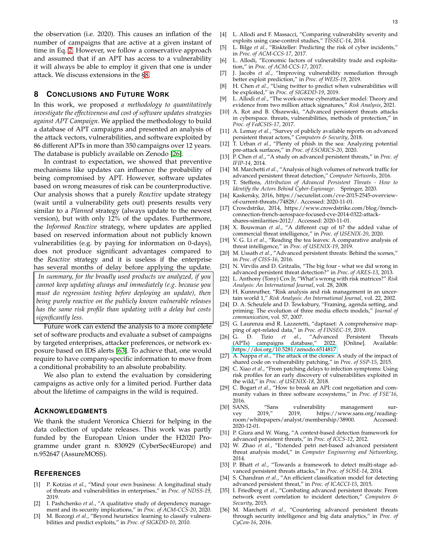the observation (i.e. 2020). This causes an inflation of the number of campaigns that are active at a given instant of time in Eq. [2.](#page-7-5) However, we follow a conservative approach and assumed that if an APT has access to a vulnerability it will always be able to employ it given that one is under attack. We discuss extensions in the [§8.](#page-16-2)

## **8 CONCLUSIONS AND FUTURE WORK**

In this work, we proposed *a methodology to quantitatively investigate the effectiveness and cost of software updates strategies against APT Campaign*. We applied the methodology to build a database of APT campaigns and presented an analysis of the attack vectors, vulnerabilities, and software exploited by 86 different APTs in more than 350 campaigns over 12 years. The database is publicly available on Zenodo [\[26\]](#page-12-7).

In contrast to expectation, we showed that preventive mechanisms like updates can influence the probability of being compromised by APT. However, software updates based on wrong measures of risk can be counterproductive. Our analysis shows that a purely *Reactive* update strategy (wait until a vulnerability gets out) presents results very similar to a *Planned* strategy (always update to the newest version), but with only 12% of the updates. Furthermore, the *Informed Reactive* strategy, where updates are applied based on reserved information about not publicly known vulnerabilities (e.g. by paying for information on 0-days), does not produce significant advantages compared to the *Reactive* strategy and it is useless if the enterprise has several months of delay before applying the update.

*In summary, for the broadly used products we analyzed, if you cannot keep updating always and immediately (e.g. because you must do regression testing before deploying an update), then being purely reactive on the publicly known vulnerable releases has the same risk profile than updating with a delay but costs significantly less.*

Future work can extend the analysis to a more complete set of software products and evaluate a subset of campaigns by targeted enterprises, attacker preferences, or network exposure based on IDS alerts [\[63\]](#page-13-4). To achieve that, one would require to have company-specific information to move from a conditional probability to an absolute probability.

We also plan to extend the evaluation by considering campaigns as active only for a limited period. Further data about the lifetime of campaigns in the wild is required.

# **ACKNOWLEDGMENTS**

We thank the student Veronica Chierzi for helping in the data collection of update releases. This work was partly funded by the European Union under the H2020 Programme under grant n. 830929 (CyberSec4Europe) and n.952647 (AssureMOSS).

## **REFERENCES**

- [1] P. Kotzias *et al.*, "Mind your own business: A longitudinal study of threats and vulnerabilities in enterprises," in *Proc. of NDSS-19*, 2019.
- [2] I. Pashchenko *et al.*, "A qualitative study of dependency management and its security implications," in *Proc. of ACM-CCS-20*, 2020.
- [3] M. Bozorgi et al., "Beyond heuristics: learning to classify vulnerabilities and predict exploits," in *Proc. of SIGKDD-10*, 2010.
- [4] L. Allodi and F. Massacci, "Comparing vulnerability severity and exploits using case-control studies," *TISSEC-14*, 2014.
- [5] L. Bilge *et al.*, "Riskteller: Predicting the risk of cyber incidents," in *Proc. of ACM-CCS-17*, 2017.
- [6] L. Allodi, "Economic factors of vulnerability trade and exploitation," in *Proc. of ACM-CCS-17*, 2017.
- <span id="page-12-0"></span>[7] J. Jacobs *et al.*, "Improving vulnerability remediation through better exploit prediction," in *Proc. of WEIS-19*, 2019.
- [8] H. Chen *et al.*, "Using twitter to predict when vulnerabilities will be exploited," in *Proc. of SIGKDD-19*, 2019.
- <span id="page-12-1"></span>[9] L. Allodi *et al.*, "The work-averse cyberattacker model: Theory and evidence from two million attack signatures," *Risk Analysis*, 2021.
- [10] A. Rot and B. Olszewski, "Advanced persistent threats attacks in cyberspace. threats, vulnerabilities, methods of protection," in *Proc. of FedCSIS-17*, 2017.
- [11] A. Lemay *et al.*, "Survey of publicly available reports on advanced persistent threat actors," *Computers & Security*, 2018.
- [12] T. Urban *et al.*, "Plenty of phish in the sea: Analyzing potential pre-attack surfaces," in *Proc. of ESORICS-20*, 2020.
- [13] P. Chen *et al.*, "A study on advanced persistent threats," in *Proc. of IFIP-14*, 2014.
- [14] M. Marchetti *et al.*, "Analysis of high volumes of network traffic for advanced persistent threat detection," *Computer Networks*, 2016.
- [15] T. Steffens, *Attribution of Advanced Persistent Threats How to Identify the Actors Behind Cyber-Espionage*. Springer, 2020.
- <span id="page-12-2"></span>[16] Kaskersky, 2016, https://securelist.com/cve-2015-2545-overviewof-current-threats/74828/. Accessed: 2020-11-01.
- <span id="page-12-3"></span>[17] Crowdstrike, 2014, https://www.crowdstrike.com/blog/frenchconnection-french-aerospace-focused-cve-2014-0322-attackshares-similarities-2012/. Accessed: 2020-11-01.
- [18] X. Bouwman *et al.*, "A different cup of ti? the added value of commercial threat intelligence," in *Proc. of USENIX-20*, 2020.
- [19] V. G. Li *et al.*, "Reading the tea leaves: A comparative analysis of threat intelligence," in *Proc. of USENIX-19*, 2019.
- [20] M. Ussath et al., "Advanced persistent threats: Behind the scenes," in *Proc. of CISS-16*, 2016.
- [21] N. Virvilis and D. Gritzalis, "The big four what we did wrong in advanced persistent threat detection?" in *Proc. of ARES-13*, 2013.
- <span id="page-12-4"></span>[22] L. Anthony (Tony) Cox Jr, "What's wrong with risk matrices?" *Risk Analysis: An International Journal*, vol. 28, 2008.
- <span id="page-12-5"></span>[23] H. Kunreuther, "Risk analysis and risk management in an uncertain world 1," *Risk Analysis: An International Journal*, vol. 22, 2002.
- <span id="page-12-6"></span>[24] D. A. Scheufele and D. Tewksbury, "Framing, agenda setting, and priming: The evolution of three media effects models," *Journal of communication*, vol. 57, 2007.
- [25] G. Laurenza and R. Lazzeretti, "daptaset: A comprehensive mapping of apt-related data," in *Proc. of FINSEC-19*, 2019.<br>G. D. Tizio et al., "Advanced Persistent
- <span id="page-12-7"></span>[26] G. D. Tizio *et al.*, "Advanced Persistent Threats (APTs) campaigns database," 2022. [Online]. Available: <https://doi.org/10.5281/zenodo.6514817>
- [27] A. Nappa *et al.*, "The attack of the clones: A study of the impact of shared code on vulnerability patching," in *Proc. of SSP-15*, 2015.
- [28] C. Xiao *et al.*, "From patching delays to infection symptoms: Using risk profiles for an early discovery of vulnerabilities exploited in the wild," in *Proc. of USENIX-18*, 2018.
- [29] C. Bogart *et al.*, "How to break an API: cost negotiation and community values in three software ecosystems," in *Proc. of FSE'16*,
- <span id="page-12-8"></span>2016.<br>[30] SANS, "Sans vulnerability management sur-<br>2019," 2019, https://www.sans.org/readingvey 2019," 2019, https://www.sans.org/readingroom/whitepapers/analyst/membership/38900. Accessed: 2020-12-01.
- [31] P. Giura and W. Wang, "A context-based detection framework for advanced persistent threats," in *Proc. of ICCS-12*, 2012.
- [32] W. Zhao *et al.*, "Extended petri net-based advanced persistent threat analysis model," in *Computer Engineering and Networking*, 2014.
- [33] P. Bhatt *et al.*, "Towards a framework to detect multi-stage advanced persistent threats attacks," in *Proc. of SOSE-14*, 2014.
- [34] S. Chandran *et al.*, "An efficient classification model for detecting advanced persistent threat," in *Proc. of ICACCI-15*, 2015.
- [35] I. Friedberg et al., "Combating advanced persistent threats: From network event correlation to incident detection," *Computers & Security*, 2015.
- [36] M. Marchetti et al., "Countering advanced persistent threats through security intelligence and big data analytics," in *Proc. of CyCon-16*, 2016.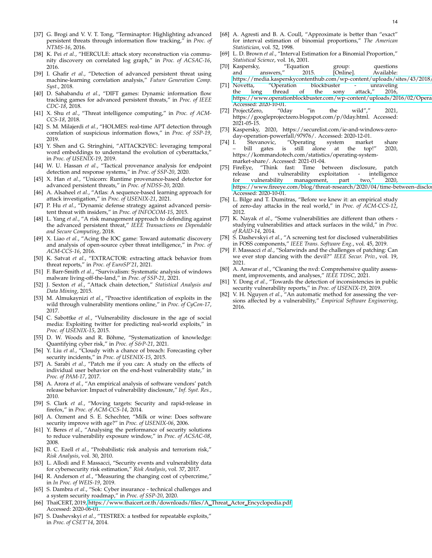- [37] G. Brogi and V. V. T. Tong, "Terminaptor: Highlighting advanced persistent threats through information flow tracking," in *Proc. of NTMS-16*, 2016.
- [38] K. Pei et al., "HERCULE: attack story reconstruction via community discovery on correlated log graph," in *Proc. of ACSAC-16*, 2016.
- [39] I. Ghafir *et al.*, "Detection of advanced persistent threat using machine-learning correlation analysis," *Future Generation Comp. Syst.*, 2018.
- [40] D. Sahabandu *et al.*, "DIFT games: Dynamic information flow tracking games for advanced persistent threats," in *Proc. of IEEE CDC-18*, 2018.
- [41] X. Shu *et al.*, "Threat intelligence computing," in *Proc. of ACM-CCS-18*, 2018.
- [42] S. M. Milajerdi *et al.*, "HOLMES: real-time APT detection through correlation of suspicious information flows," in *Proc. of SSP-19*, 2019.
- [43] Y. Shen and G. Stringhini, "ATTACK2VEC: leveraging temporal word embeddings to understand the evolution of cyberattacks," in *Proc. of USENIX-19*, 2019.
- [44] W. U. Hassan *et al.*, "Tactical provenance analysis for endpoint detection and response systems," in *Proc. of SSP-20*, 2020.
- [45] X. Han *et al.*, "Unicorn: Runtime provenance-based detector for advanced persistent threats," in *Proc. of NDSS-20*, 2020.
- [46] A. Alsaheel *et al.*, "Atlas: A sequence-based learning approach for attack investigation," in *Proc. of USENIX-21*, 2021.
- [47] P. Hu *et al.*, "Dynamic defense strategy against advanced persistent threat with insiders," in *Proc. of INFOCOM-15*, 2015.
- [48] L. Yang *et al.*, "A risk management approach to defending against the advanced persistent threat," *IEEE Transactions on Dependable and Secure Computing*, 2018.
- [49] X. Liao *et al.*, "Acing the IOC game: Toward automatic discovery and analysis of open-source cyber threat intelligence," in *Proc. of ACM-CCS-16*, 2016.
- [50] K. Satvat *et al.*, "EXTRACTOR: extracting attack behavior from threat reports," in *Proc. of EuroSP'21*, 2021.
- <span id="page-13-0"></span>[51] F. Barr-Smith *et al.*, "Survivalism: Systematic analysis of windows malware living-off-the-land," in *Proc. of SSP-21*, 2021.
- [52] J. Sexton *et al.*, "Attack chain detection," *Statistical Analysis and Data Mining*, 2015.
- [53] M. Almukaynizi *et al.*, "Proactive identification of exploits in the wild through vulnerability mentions online," in *Proc. of CyCon-17*, 2017.
- [54] C. Sabottke *et al.*, "Vulnerability disclosure in the age of social media: Exploiting twitter for predicting real-world exploits," in *Proc. of USENIX-15*, 2015.
- <span id="page-13-1"></span>[55] D. W. Woods and R. Böhme, "Systematization of knowledge: Quantifying cyber risk," in *Proc. of S&P-21*, 2021.
- [56] Y. Liu *et al.*, "Cloudy with a chance of breach: Forecasting cyber security incidents," in *Proc. of USENIX-15*, 2015.
- [57] A. Sarabi *et al.*, "Patch me if you can: A study on the effects of individual user behavior on the end-host vulnerability state," in *Proc. of PAM-17*, 2017.
- [58] A. Arora *et al.*, "An empirical analysis of software vendors' patch release behavior: Impact of vulnerability disclosure," *Inf. Syst. Res.*, 2010.
- [59] S. Clark *et al.*, "Moving targets: Security and rapid-release in firefox," in *Proc. of ACM-CCS-14*, 2014.
- [60] A. Ozment and S. E. Schechter, "Milk or wine: Does software security improve with age?" in *Proc. of USENIX-06*, 2006.
- <span id="page-13-2"></span>[61] Y. Beres *et al.*, "Analysing the performance of security solutions to reduce vulnerability exposure window," in *Proc. of ACSAC-08*, 2008.
- <span id="page-13-3"></span>[62] B. C. Ezell *et al.*, "Probabilistic risk analysis and terrorism risk," *Risk Analysis*, vol. 30, 2010.
- <span id="page-13-4"></span>[63] L. Allodi and F. Massacci, "Security events and vulnerability data for cybersecurity risk estimation," *Risk Analysis*, vol. 37, 2017.
- <span id="page-13-5"></span>[64] R. Anderson *et al.*, "Measuring the changing cost of cybercrime," in *In Proc. of WEIS-19*, 2019.
- [65] S. Dambra *et al.*, "Sok: Cyber insurance technical challenges and a system security roadmap," in *Proc. of SSP-20*, 2020.
- [66] ThaiCERT, 2019, [https://www.thaicert.or.th/downloads/files/A](https://www.thaicert.or.th/downloads/files/A_Threat_Actor_Encyclopedia.pdf ) Threat Actor Encyclopedia.pdf. Accessed: 2020-06-01.
- [67] S. Dashevskyi et al., "TESTREX: a testbed for repeatable exploits," in *Proc. of CSET'14*, 2014.
- <span id="page-13-6"></span>[68] A. Agresti and B. A. Coull, "Approximate is better than "exact" for interval estimation of binomial proportions," *The American Statistician*, vol. 52, 1998.
- [69] L. D. Brown *et al.*, "Interval Estimation for a Binomial Proportion," *Statistical Science*, vol. 16, 2001.
- <span id="page-13-7"></span>[70] Kaspersky, "Equation group: questions and answers," 2015. [Online]. Available: https://media.kasperskycontenthub.com/wp-content/uploads/sites/43/2018,
- <span id="page-13-8"></span>[71] Novetta, "Operation blockbuster - unraveling the long thread of the sony attack," 2016, https://www.operationblockbuster.com/wp-content/uploads/2016/02/Opera Accessed: 2020-10-01.
- <span id="page-13-9"></span>[72] ProjectZero, "0day "in the wild"," 2021, https://googleprojectzero.blogspot.com/p/0day.html. Accessed: 2021-05-15.
- <span id="page-13-10"></span>[73] Kaspersky, 2020, https://securelist.com/ie-and-windows-zeroday-operation-powerfall/97976/. Accessed: 2020-12-01.<br>I. Stevanovic, "Operating system market
- <span id="page-13-11"></span>[74] I. Stevanovic, "Operating system market share is still alone at the top!" 2020, https://kommandotech.com/statistics/operating-systemmarket-share/. Accessed: 2021-01-04.
- <span id="page-13-12"></span>[75] FireEye, "Think fast: Time between disclosure, patch release and vulnerability for vulnerability management, part two," 2020, https://www.fireeye.com/blog/threat-research/2020/04/time-between-disclo Accessed: 2020-10-01.
- [76] L. Bilge and T. Dumitras, "Before we knew it: an empirical study of zero-day attacks in the real world," in *Proc. of ACM-CCS-12*, 2012.
- [77] K. Nayak *et al.*, "Some vulnerabilities are different than others studying vulnerabilities and attack surfaces in the wild," in *Proc. of RAID-14*, 2014.
- [78] S. Dashevskyi *et al.*, "A screening test for disclosed vulnerabilities in FOSS components," *IEEE Trans. Software Eng.*, vol. 45, 2019.
- [79] F. Massacci *et al.*, "Solarwinds and the challenges of patching: Can we ever stop dancing with the devil?" *IEEE Secur. Priv.*, vol. 19, 2021.
- <span id="page-13-13"></span>[80] A. Anwar *et al.*, "Cleaning the nvd: Comprehensive quality assessment, improvements, and analyses," *IEEE TDSC*, 2021.
- [81] Y. Dong *et al.*, "Towards the detection of inconsistencies in public security vulnerability reports," in *Proc. of USENIX-19*, 2019.
- [82] V. H. Nguyen *et al.*, "An automatic method for assessing the versions affected by a vulnerability," *Empirical Software Engineering*, 2016.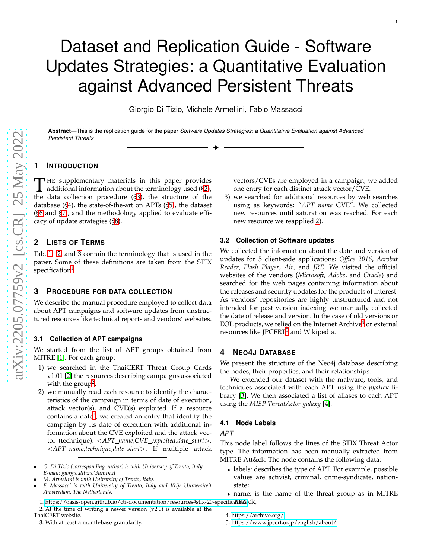# Dataset and Replication Guide - Software Updates Strategies: a Quantitative Evaluation against Advanced Persistent Threats

Giorgio Di Tizio, Michele Armellini, Fabio Massacci

✦

**Abstract**—This is the replication guide for the paper *Software Updates Strategies: a Quantitative Evaluation against Advanced Persistent Threats*

# **1 INTRODUCTION**

THE supplementary materials in this paper provides<br>additional information about the terminology used ([§2\)](#page-14-8),<br>the data collection precedure  $(S<sup>2</sup>)$ , the structure of the HE supplementary materials in this paper provides the data collection procedure ([§3\)](#page-14-9), the structure of the database ([§4\)](#page-14-7), the state-of-the-art on APTs ([§5\)](#page-16-1), the dataset ([§6](#page-16-3) and [§7\)](#page-16-0), and the methodology applied to evaluate efficacy of update strategies ([§8\)](#page-16-2).

# <span id="page-14-8"></span>**2 LISTS OF TERMS**

Tab. [1,](#page-15-2) [2,](#page-15-0) and [3](#page-15-3) contain the terminology that is used in the paper. Some of these definitions are taken from the STIX specification<sup>[1](#page-14-1)</sup>.

# <span id="page-14-9"></span>**3 PROCEDURE FOR DATA COLLECTION**

We describe the manual procedure employed to collect data about APT campaigns and software updates from unstructured resources like technical reports and vendors' websites.

# **3.1 Collection of APT campaigns**

We started from the list of APT groups obtained from MITRE [\[1\]](#page-18-7). For each group:

- <span id="page-14-6"></span>1) we searched in the ThaiCERT Threat Group Cards v1.01 [\[2\]](#page-18-4) the resources describing campaigns associated with the group<sup>[2](#page-14-2)</sup>.
- <span id="page-14-0"></span>2) we manually read each resource to identify the characteristics of the campaign in terms of date of execution, attack vector(s), and CVE(s) exploited. If a resource contains a date<sup>[3](#page-14-3)</sup>, we created an entry that identify the campaign by its date of execution with additional information about the CVE exploited and the attack vector (technique): <*APT name,CVE exploited,date start*>, <*APT name,technique,date start*>. If multiple attack

- *M. Armellini is with University of Trento, Italy.*
- *F. Massacci is with University of Trento, Italy and Vrije Universiteit Amsterdam, The Netherlands.*

<span id="page-14-1"></span>1. https://oasis-open.github.io/cti-documentation/resources#stix-20-specific**atitischeldenteral** 

<span id="page-14-3"></span><span id="page-14-2"></span>3. With at least a month-base granularity.

vectors/CVEs are employed in a campaign, we added one entry for each distinct attack vector/CVE.

3) we searched for additional resources by web searches using as keywords: "*APT name* CVE". We collected new resources until saturation was reached. For each new resource we reapplied [2\)](#page-14-0).

## **3.2 Collection of Software updates**

We collected the information about the date and version of updates for 5 client-side applications: *Office 2016* , *Acrobat Reader* , *Flash Player* , *Air*, and *JRE*. We visited the official websites of the vendors (*Microsoft* , *Adobe*, and *Oracle*) and searched for the web pages containing information about the releases and security updates for the products of interest. As vendors' repositories are highly unstructured and not intended for past version indexing we manually collected the date of release and version. In the case of old versions or EOL products, we relied on the Internet Archive $^4$  $^4$  or external resources like JPCERT<sup>[5](#page-14-5)</sup> and Wikipedia.

# <span id="page-14-7"></span>**4 NEO 4 J DATABASE**

We present the structure of the Neo4j database describing the nodes, their properties, and their relationships.

We extended our dataset with the malware, tools, and techniques associated with each APT using the *pyattck* library [\[3\]](#page-18-8). We then associated a list of aliases to each APT using the *MISP ThreatActor galaxy* [\[4\]](#page-18-9).

## **4.1 Node Labels**

## *APT*

This node label follows the lines of the STIX Threat Actor type. The information has been manually extracted from MITRE Att&ck. The node contains the following data:

• labels: describes the type of APT. For example, possible values are activist, criminal, crime-syndicate, nationstate;

<sup>•</sup> *G. Di Tizio (corresponding author) is with University of Trento, Italy. E-mail: giorgio.ditizio@unitn.it*

<sup>2.</sup> At the time of writing a newer version (v2.0) is available at the ThaiCERT website.

<sup>•</sup> name: is the name of the threat group as in MITRE

<sup>4.</sup><https://archive.org/>

<span id="page-14-5"></span><span id="page-14-4"></span><sup>5.</sup><https://www.jpcert.or.jp/english/about/>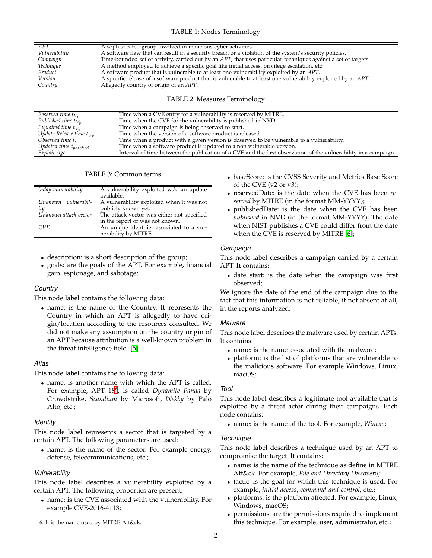# TABLE 1: Nodes Terminology

<span id="page-15-2"></span>

| APT           | A sophisticated group involved in malicious cyber activities.                                                  |
|---------------|----------------------------------------------------------------------------------------------------------------|
| Vulnerability | A software flaw that can result in a security breach or a violation of the system's security policies.         |
| Campaign      | Time-bounded set of activity, carried out by an APT, that uses particular techniques against a set of targets. |
| Technique     | A method employed to achieve a specific goal like initial access, privilege escalation, etc.                   |
| Product       | A software product that is vulnerable to at least one vulnerability exploited by an APT.                       |
| Version       | A specific release of a software product that is vulnerable to at least one vulnerability exploited by an APT. |
| Country       | Allegedly country of origin of an APT.                                                                         |
|               |                                                                                                                |

## TABLE 2: Measures Terminology

<span id="page-15-0"></span>

| Reserved time $t_{V_r}$       | Time when a CVE entry for a vulnerability is reserved by MITRE.                                                 |
|-------------------------------|-----------------------------------------------------------------------------------------------------------------|
|                               |                                                                                                                 |
| Published time $t_{V_n}$      | Time when the CVE for the vulnerability is published in NVD.                                                    |
| Exploited time $t_{V_e}$      | Time when a campaign is being observed to start.                                                                |
| Update Release time $t_{U_r}$ | Time when the version of a software product is released.                                                        |
| Observed time $t_{\alpha}$    | Time when a product with a given version is observed to be vulnerable to a vulnerability.                       |
| Updated time $t_{patched}$    | Time when a software product is updated to a non vulnerable version.                                            |
| Exploit Age                   | Interval of time between the publication of a CVE and the first observation of the vulnerability in a campaign. |

TABLE 3: Common terms

<span id="page-15-3"></span>

| 0-day vulnerability   | A vulnerability exploited $w/o$ an update<br>available. |
|-----------------------|---------------------------------------------------------|
| Unknown vulnerabil-   | A vulnerability exploited when it was not               |
| ity                   | publicly known yet.                                     |
| Unknown attack vector | The attack vector was either not specified              |
|                       | in the report or was not known.                         |
| CVE.                  | An unique identifier associated to a vul-               |
|                       | nerability by MITRE.                                    |
|                       |                                                         |

- description: is a short description of the group;
- goals: are the goals of the APT. For example, financial gain, espionage, and sabotage;

# *Country*

This node label contains the following data:

• name: is the name of the Country. It represents the Country in which an APT is allegedly to have origin/location according to the resources consulted. We did not make any assumption on the country origin of an APT because attribution is a well-known problem in the threat intelligence field. [\[5\]](#page-18-10)

# *Alias*

This node label contains the following data:

• name: is another name with which the APT is called. For example, APT 18<sup>[6](#page-15-1)</sup>, is called *Dynamite Panda* by Crowdstrike, *Scandium* by Microsoft, *Wekby* by Palo Alto, etc.;

## *Identity*

This node label represents a sector that is targeted by a certain APT. The following parameters are used:

• name: is the name of the sector. For example energy, defense, telecommunications, etc.;

# *Vulnerability*

This node label describes a vulnerability exploited by a certain APT. The following properties are present:

- name: is the CVE associated with the vulnerability. For example CVE-2016-4113;
- <span id="page-15-1"></span>6. It is the name used by MITRE Att&ck.
- baseScore: is the CVSS Severity and Metrics Base Score of the CVE (v2 or v3);
- reservedDate: is the date when the CVE has been *reserved* by MITRE (in the format MM-YYYY);
- publishedDate: is the date when the CVE has been *published* in NVD (in the format MM-YYYY). The date when NIST publishes a CVE could differ from the date when the CVE is reserved by MITRE [\[6\]](#page-18-0);

# *Campaign*

This node label describes a campaign carried by a certain APT. It contains:

• date start: is the date when the campaign was first observed;

We ignore the date of the end of the campaign due to the fact that this information is not reliable, if not absent at all, in the reports analyzed.

# *Malware*

This node label describes the malware used by certain APTs. It contains:

- name: is the name associated with the malware;
- platform: is the list of platforms that are vulnerable to the malicious software. For example Windows, Linux, macOS;

# *Tool*

This node label describes a legitimate tool available that is exploited by a threat actor during their campaigns. Each node contains:

• name: is the name of the tool. For example, *Winexe*;

# *Technique*

This node label describes a technique used by an APT to compromise the target. It contains:

- name: is the name of the technique as define in MITRE Att&ck. For example, *File and Directory Discovery*;
- tactic: is the goal for which this technique is used. For example, *initial access*, *command-and-control*, etc.;
- platforms: is the platform affected. For example, Linux, Windows, macOS;
- permissions: are the permissions required to implement this technique. For example, user, administrator, etc.;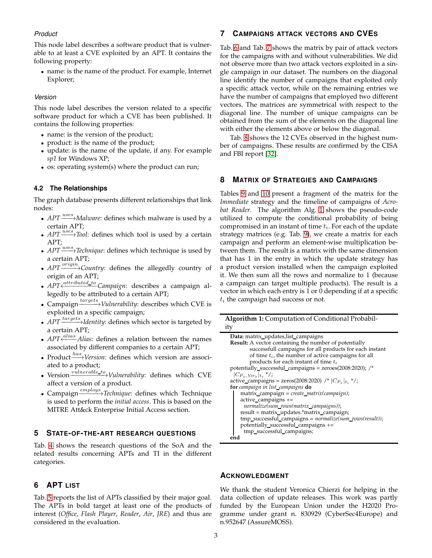# *Product*

This node label describes a software product that is vulnerable to at least a CVE exploited by an APT. It contains the following property:

• name: is the name of the product. For example, Internet Explorer;

# *Version*

This node label describes the version related to a specific software product for which a CVE has been published. It contains the following properties:

- name: is the version of the product;
- product: is the name of the product;
- update: is the name of the update, if any. For example *sp1* for Windows XP;
- os: operating system(s) where the product can run;

# **4.2 The Relationships**

The graph database presents different relationships that link nodes:

- *APT* <sup>*uses*</sup>→*Malware*: defines which malware is used by a certain APT;
- *APT* <sup>*uses*</sup>/*Tool*: defines which tool is used by a certain APT;
- *APT*<sup>'uses</sup>>Technique: defines which technique is used by a certain APT;
- *APT*<sup>origin</sup>>Country: defines the allegedly country of origin of an APT;
- *APT* <<sup>*A*ttributed\_to</sup> Campaign: describes a campaign allegedly to be attributed to a certain APT;
- Campaign  $\xrightarrow{targets}$ *Vulnerability*: describes which CVE is exploited in a specific campaign;
- *APT*<sup>targets</sup>>Identity: defines which sector is targeted by a certain APT;
- *APT*  $\leftarrow$ <sup>*alias*</sup> *Alias*: defines a relation between the names associated by different companies to a certain APT;
- Product<sup>*has*</sup>>Version: defines which version are associated to a product;
- Version  $\frac{v \overline{u} \overline{v} + \overline{v} + \overline{v} + \overline{v} + \overline{v} + \overline{v} + \overline{v} + \overline{v} + \overline{v} + \overline{v} + \overline{v} + \overline{v} + \overline{v} + \overline{v} + \overline{v} + \overline{v} + \overline{v} + \overline{v} + \overline{v} + \overline{v} + \overline{v} + \overline{v} + \overline{v} + \overline{v} + \overline{v} + \overline{v} + \overline{v} + \overline{v} + \overline{$ affect a version of a product.
- Campaign **employs** Technique: defines which Technique is used to perform the *initial access*. This is based on the MITRE Att&ck Enterprise Initial Access section.

# <span id="page-16-1"></span>**5 STATE-OF-THE-ART RESEARCH QUESTIONS**

Tab. [4](#page-17-0) shows the research questions of the SoA and the related results concerning APTs and TI in the different categories.

# <span id="page-16-3"></span>**6 APT LIST**

Tab. [5](#page-18-11) reports the list of APTs classified by their major goal. The APTs in bold target at least one of the products of interest (*Office*, *Flash Player*, *Reader*, *Air*, *JRE*) and thus are considered in the evaluation.

# <span id="page-16-0"></span>**7 CAMPAIGNS ATTACK VECTORS AND CVES**

Tab. [6](#page-18-12) and Tab. [7](#page-18-5) shows the matrix by pair of attack vectors for the campaigns with and without vulnerabilities. We did not observe more than two attack vectors exploited in a single campaign in our dataset. The numbers on the diagonal line identify the number of campaigns that exploited only a specific attack vector, while on the remaining entries we have the number of campaigns that employed two different vectors. The matrices are symmetrical with respect to the diagonal line. The number of unique campaigns can be obtained from the sum of the elements on the diagonal line with either the elements above or below the diagonal.

Tab. [8](#page-18-13) shows the 12 CVEs observed in the highest number of campaigns. These results are confirmed by the CISA and FBI report [\[32\]](#page-19-4).

# <span id="page-16-2"></span>**8 MATRIX OF STRATEGIES AND CAMPAIGNS**

Tables [9](#page-18-6) and [10](#page-18-14) present a fragment of the matrix for the *Immediate* strategy and the timeline of campaigns of *Acrobat Reader*. The algorithm Alg. [1](#page-16-4) shows the pseudo-code utilized to compute the conditional probability of being compromised in an instant of time  $t_i$ . For each of the update strategy matrices (e.g. Tab. [9\)](#page-18-6), we create a matrix for each campaign and perform an element-wise multiplication between them. The result is a matrix with the same dimension that has 1 in the entry in which the update strategy has a product version installed when the campaign exploited it. We then sum all the rows and normalize to 1 (because a campaign can target multiple products). The result is a vector in which each entry is 1 or 0 depending if at a specific  $t_i$  the campaign had success or not.

| Algorithm 1: Computation of Conditional Probabil-                          |
|----------------------------------------------------------------------------|
| ity                                                                        |
| Data: matrix_updates, list_campaigns                                       |
| <b>Result:</b> A vector containing the number of potentially               |
| successfull campaigns for all products for each instant                    |
| of time $t_i$ , the number of active campaigns for all                     |
| products for each instant of time $t_i$                                    |
| potentially_successful_campaigns = $zeroes(2008:2020)$ ; /*                |
| $ C_{P_{\tau}, Ver_{\tau}} _{t_i}$ */;                                     |
| active_campaigns = zeros(2008:2020) /* $ C_{P_{\gamma}} _{t_{\gamma}}$ */; |
| for campaign in list_campaigns do                                          |
| $matrix\_campalign = create\_matrix(campaign);$                            |
| $active\_campaigns +=$                                                     |
| normalize(sum_rows(matrix_campaigns));                                     |
| result = matrix_updates.*matrix_campaign;                                  |
| tmp_successful_campaigns = normalize(sum_rows(result));                    |
| potentially_successful_campaigns +=                                        |
| tmp_successful_campaigns;                                                  |
| end                                                                        |

# <span id="page-16-4"></span>**ACKNOWLEDGMENT**

We thank the student Veronica Chierzi for helping in the data collection of update releases. This work was partly funded by the European Union under the H2020 Programme under grant n. 830929 (CyberSec4Europe) and n.952647 (AssureMOSS).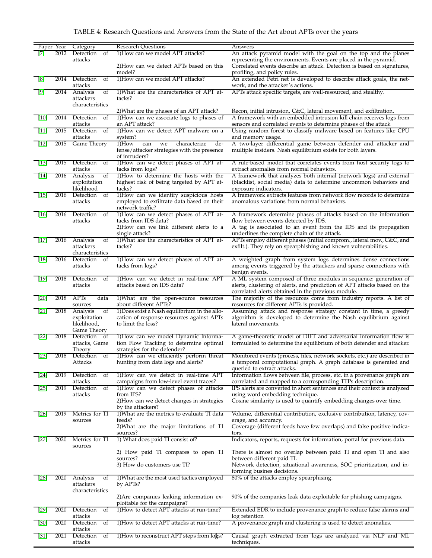# TABLE 4: Research Questions and Answers from the State of the Art about APTs over the years

<span id="page-17-0"></span>

| Paper Year           |      | Category                              | <b>Research Questions</b>                                                            | Answers                                                                                                                                      |
|----------------------|------|---------------------------------------|--------------------------------------------------------------------------------------|----------------------------------------------------------------------------------------------------------------------------------------------|
| [7]                  | 2012 | Detection<br>of                       | 1) How can we model APT attacks?                                                     | An attack pyramid model with the goal on the top and the planes                                                                              |
|                      |      | attacks                               |                                                                                      | representing the environments. Events are placed in the pyramid.                                                                             |
|                      |      |                                       | 2)How can we detect APTs based on this                                               | Correlated events describe an attack. Detection is based on signatures,                                                                      |
|                      |      | 2014 Detection                        | model?<br>1) How can we model APT attacks?                                           | profiling, and policy rules.<br>An extended Petri net is developed to describe attack goals, the net-                                        |
| [8]                  |      | <sub>of</sub><br>attacks              |                                                                                      | work, and the attacker's actions.                                                                                                            |
| [9]                  | 2014 | Analysis<br>of                        | 1) What are the characteristics of APT at-                                           | APTs attack specific targets, are well-resourced, and stealthy.                                                                              |
|                      |      | attackers                             | tacks?                                                                               |                                                                                                                                              |
|                      |      | characteristics                       |                                                                                      |                                                                                                                                              |
|                      |      |                                       | 2) What are the phases of an APT attack?                                             | Recon, initial intrusion, C&C, lateral movement, and exfiltration.                                                                           |
| $[10]$               | 2014 | Detection<br><sub>of</sub><br>attacks | 1) How can we associate logs to phases of<br>an APT attack?                          | A framework with an embedded intrusion kill chain receives logs from<br>sensors and correlated events to determine phases of the attack      |
| $[11]$               | 2015 | Detection<br>- of                     | 1)How can we detect APT malware on a                                                 | Using random forest to classify malware based on features like CPU                                                                           |
|                      |      | attacks                               | system?                                                                              | and memory usage.                                                                                                                            |
| $[12]$               | 2015 | Game Theory                           | 1)How<br>de-<br>we<br>characterize<br>can                                            | A two-layer differential game between defender and attacker and                                                                              |
|                      |      |                                       | fense/attacker strategies with the presence                                          | multiple insiders. Nash equilibrium exists for both layers.                                                                                  |
| $\lfloor 13 \rfloor$ | 2015 | Detection<br>of                       | of intruders?<br>1)How can we detect phases of APT at-                               | A rule-based model that correlates events from host security logs to                                                                         |
|                      |      | attacks                               | tacks from logs?                                                                     | extract anomalies from normal behaviors.                                                                                                     |
| $[14]$               | 2016 | Analysis<br>of                        | 1)How to determine the hosts with the                                                | A framework that analyzes both internal (network logs) and external                                                                          |
|                      |      | exploitation                          | highest risk of being targeted by APT at-                                            | (blacklist, social media) data to determine uncommon behaviors and                                                                           |
|                      |      | likelihood                            | tacks?                                                                               | exposure indicators.                                                                                                                         |
| $[15]$               | 2016 | Detection<br>of<br>attacks            | 1)How can we identify suspicious hosts<br>employed to exfiltrate data based on their | A framework extracts features from network flow records to determine<br>anomalous variations from normal behaviors.                          |
|                      |      |                                       | network traffic?                                                                     |                                                                                                                                              |
| $[16]$               | 2016 | Detection<br>of                       | 1)How can we detect phases of APT at-                                                | A framework determine phases of attacks based on the information                                                                             |
|                      |      | attacks                               | tacks from IDS data?                                                                 | flow between events detected by IDS.                                                                                                         |
|                      |      |                                       | 2)How can we link different alerts to a                                              | A tag is associated to an event from the IDS and its propagation                                                                             |
|                      |      |                                       | single attack?<br>1) What are the characteristics of APT at-                         | underlines the complete chain of the attack.                                                                                                 |
| $[17]$               | 2016 | Analysis<br>of<br>attackers           | tacks?                                                                               | APTs employ different phases (initial comprom., lateral mov., C&C, and<br>exfilt.). They rely on spearphishing and known vulnerabilities.    |
|                      |      | characteristics                       |                                                                                      |                                                                                                                                              |
| $\lceil 18 \rceil$   | 2016 | Detection<br>- of                     | 1) How can we detect phases of APT at-                                               | A weighted graph from system logs determines dense connections                                                                               |
|                      |      | attacks                               | tacks from logs?                                                                     | among events triggered by the attackers and sparse connections with                                                                          |
|                      |      |                                       |                                                                                      | benign events.                                                                                                                               |
| $[19]$               | 2018 | Detection<br>of<br>attacks            | 1) How can we detect in real-time APT<br>attacks based on IDS data?                  | A ML system composed of three modules in sequence: generation of<br>alerts, clustering of alerts, and prediction of APT attacks based on the |
|                      |      |                                       |                                                                                      | correlated alerts obtained in the previous module.                                                                                           |
| [20]                 | 2018 | APTs<br>data                          | 1) What are the open-source resources                                                | The majority of the resources come from industry reports. A list of                                                                          |
|                      |      | sources                               | about different APTs?                                                                | resources for different APTs is provided.                                                                                                    |
| $[21]$               | 2018 | Analysis<br>of                        | 1) Does exist a Nash equilibrium in the allo-                                        | Assuming attack and response strategy constant in time, a greedy                                                                             |
|                      |      | exploitation<br>likelihood,           | cation of response resources against APTs<br>to limit the loss?                      | algorithm is developed to determine the Nash equilibrium against<br>lateral movements.                                                       |
|                      |      | Game Theory                           |                                                                                      |                                                                                                                                              |
| 22                   | 2018 | Detection of                          | 1) How can we model Dynamic Informa-                                                 | A game-theoretic model of DIFT and adversarial information flow is                                                                           |
|                      |      |                                       | tion Flow Tracking to determine optimal                                              | formulated to determine the equilibrium of both defender and attacker.                                                                       |
| $[23]$               |      | attacks, Game                         |                                                                                      |                                                                                                                                              |
|                      |      | Theory                                | strategies for the defender?                                                         |                                                                                                                                              |
|                      | 2018 | Detection of                          | 1)How can we efficiently perform threat                                              | Monitored events (process, files, network sockets, etc.) are described in                                                                    |
|                      |      | Attacks                               | hunting from data logs and alerts?                                                   | a temporal computational graph. A graph database is generated and<br>queried to extract attacks.                                             |
| [24]                 | 2019 | Detection<br>of                       | 1)How can we detect in real-time APT                                                 | Information flows between file, process, etc. in a provenance graph are                                                                      |
|                      |      | attacks                               | campaigns from low-level event traces?                                               | correlated and mapped to a corresponding TTPs description.                                                                                   |
| [25]                 | 2019 | Detection<br>of                       | 1) How can we detect phases of attacks                                               | IPS alerts are converted in short sentences and their context is analyzed                                                                    |
|                      |      | attacks                               | from IPS?                                                                            | using word embedding technique.                                                                                                              |
|                      |      |                                       | 2)How can we detect changes in strategies<br>by the attackers?                       | Cosine similarity is used to quantify embedding changes over time.                                                                           |
| $[26]$               | 2019 | Metrics for TI                        | 1)What are the metrics to evaluate TI data                                           | Volume, differential contribution, exclusive contribution, latency, cov-                                                                     |
|                      |      | sources                               | feeds?                                                                               | erage, and accuracy.                                                                                                                         |
|                      |      |                                       | 2) What are the major limitations of TI                                              | Coverage (different feeds have few overlaps) and false positive indica-                                                                      |
|                      |      |                                       | sources?                                                                             | tors.                                                                                                                                        |
| $[27]$               | 2020 | Metrics for TI<br>sources             | 1) What does paid TI consist of?                                                     | Indicators, reports, requests for information, portal for previous data.                                                                     |
|                      |      |                                       | 2) How paid TI compares to open TI                                                   | There is almost no overlap between paid TI and open TI and also                                                                              |
|                      |      |                                       | sources?                                                                             | between different paid Tl.                                                                                                                   |
|                      |      |                                       | 3) How do customers use TI?                                                          | Network detection, situational awareness, SOC prioritization, and in-                                                                        |
| [28]                 | 2020 | Analysis<br>of                        |                                                                                      | forming busines decisions.                                                                                                                   |
|                      |      | attackers                             | 1) What are the most used tactics employed<br>by APTs?                               | 80% of the attacks employ spearphising.                                                                                                      |
|                      |      | characteristics                       |                                                                                      |                                                                                                                                              |
|                      |      |                                       | 2)Are companies leaking information ex-                                              | 90% of the companies leak data exploitable for phishing campaigns.                                                                           |
|                      |      |                                       | ploitable for the campaigns?                                                         |                                                                                                                                              |
| [29]                 | 2020 | Detection<br>of<br>attacks            | 1)How to detect APT attacks at run-time?                                             | Extended EDR to include provenance graph to reduce false alarms and<br>log retention                                                         |
| $[30]$               | 2020 | Detection<br>of                       | 1) How to detect APT attacks at run-time?                                            | A provenance graph and clustering is used to detect anomalies.                                                                               |
| $[31]$               | 2021 | attacks<br>Detection<br>of            | 1) How to reconstruct APT steps from $log s$ ?                                       | Causal graph extracted from logs are analyzed via NLP and ML                                                                                 |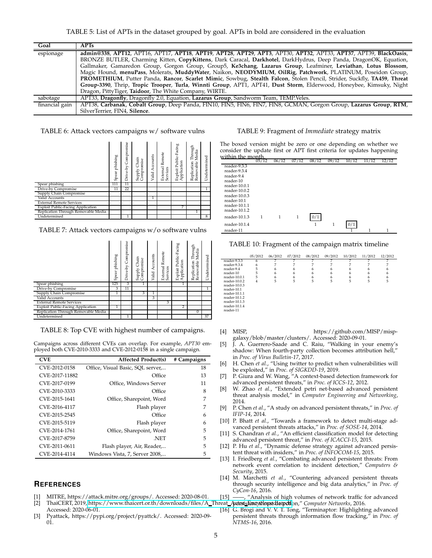<span id="page-18-11"></span>

| Goal           | APTs                                                                                                                    |  |  |  |  |  |  |
|----------------|-------------------------------------------------------------------------------------------------------------------------|--|--|--|--|--|--|
| espionage      | admin@338, APT12, APT16, APT17, APT18, APT19, APT28, APT29, APT3, APT30, APT32, APT33, APT37, APT39, BlackOasis,        |  |  |  |  |  |  |
|                | BRONZE BUTLER, Charming Kitten, CopyKittens, Dark Caracal, Darkhotel, DarkHydrus, Deep Panda, DragonOK, Equation,       |  |  |  |  |  |  |
|                | Gallmaker, Gamaredon Group, Gorgon Group, Group5, Ke3chang, Lazarus Group, Leafminer, Leviathan, Lotus Blossom,         |  |  |  |  |  |  |
|                | Magic Hound, menuPass, Molerats, MuddyWater, Naikon, NEODYMIUM, OilRig, Patchwork, PLATINUM, Poseidon Group,            |  |  |  |  |  |  |
|                | PROMETHIUM, Putter Panda, Rancor, Scarlet Mimic, Sowbug, Stealth Falcon, Stolen Pencil, Strider, Suckfly, TA459, Threat |  |  |  |  |  |  |
|                | Group-3390, Thrip, Tropic Trooper, Turla, Winnti Group, APT1, APT41, Dust Storm, Elderwood, Honeybee, Kimsuky, Night    |  |  |  |  |  |  |
|                | Dragon, PittyTiger, Taidoor, The White Company, WIRTE.                                                                  |  |  |  |  |  |  |
| sabotage       | APT33, Dragonfly, Dragonfly 2.0, Equation, Lazarus Group, Sandworm Team, TEMP. Veles.                                   |  |  |  |  |  |  |
| financial gain | APT38, Carbanak, Cobalt Group, Deep Panda, FIN10, FIN5, FIN6, FIN7, FIN8, GCMAN, Gorgon Group, Lazarus Group, RTM,      |  |  |  |  |  |  |
|                | SilverTerrier, FIN4, Silence.                                                                                           |  |  |  |  |  |  |

<span id="page-18-12"></span>TABLE 6: Attack vectors campaigns w/ software vulns

# Spear phishing<br>Drive-by Compromise<br>Supply Chain<br>Compromise<br>Valid Accounts<br>External Remote Application Through<br>Application Through<br>Application Through<br>Removable Media **Indetermined** Spear phishing 111 11 Drive-by Compromise 11 22 1 Supply Chain Compromise Valid Accounts 1 External Remote Services Exploit Public-Facing Application 7 Replication Through Removable Media 1 Undetermined 1 1 1 1 1 1 8

<span id="page-18-5"></span>TABLE 7: Attack vectors campaigns w/o software vulns

|                                     | phishing<br>Spear | Compromise<br>Drive-by | Chain<br>Supply Chain<br>Compromise | Accounts<br>Valid | <b>External Remote</b><br>Services | Exploit Public-Facing<br>Application | Through<br>Media<br>Removable<br>Replication | Undetermined |
|-------------------------------------|-------------------|------------------------|-------------------------------------|-------------------|------------------------------------|--------------------------------------|----------------------------------------------|--------------|
| Spear phishing                      | 125               | 3                      |                                     |                   |                                    |                                      |                                              |              |
| Drive-by Compromise                 | 3                 | 11                     |                                     |                   |                                    |                                      |                                              | 1            |
| Supply Chain Compromise             |                   |                        | 3                                   |                   |                                    |                                      |                                              |              |
| Valid Accounts                      |                   |                        |                                     | 3                 |                                    |                                      |                                              |              |
| <b>External Remote Services</b>     |                   |                        |                                     |                   | 3                                  |                                      |                                              |              |
| Exploit Public-Facing Application   |                   |                        |                                     |                   |                                    | 2                                    |                                              |              |
| Replication Through Removable Media |                   |                        |                                     |                   |                                    |                                      | 0                                            |              |
| Undetermined                        |                   |                        |                                     |                   |                                    |                                      |                                              | 37           |

<span id="page-18-13"></span>TABLE 8: Top CVE with highest number of campaigns.

Campaigns across different CVEs can overlap. For example, *APT30* employed both CVE-2010-3333 and CVE-2012-0158 in a single campaign.

| <b>CVE</b>     | <b>Affected Product(s)</b>        | # Campaigns |
|----------------|-----------------------------------|-------------|
| CVE-2012-0158  | Office, Visual Basic, SQL server, | 18          |
| CVE-2017-11882 | Office                            | 13          |
| CVE-2017-0199  | Office, Windows Server            | 11          |
| CVE-2010-3333  | Office                            | 8           |
| CVE-2015-1641  | Office, Sharepoint, Word          | 7           |
| CVE-2016-4117  | Flash player                      | 7           |
| CVE-2015-2545  | Office                            | 6           |
| CVE-2015-5119  | Flash player                      | 6           |
| CVE-2014-1761  | Office, Sharepoint, Word          | 5           |
| CVE-2017-8759  | .NET                              | 5           |
| CVE-2011-0611  | Flash player, Air, Reader,        | 5           |
| CVE-2014-4114  | Windows Vista, 7, Server 2008,    | 5           |

# **REFERENCES**

- <span id="page-18-7"></span><span id="page-18-4"></span>[1] MITRE, https://attack.mitre.org/groups/. Accessed: 2020-08-01.
- Accessed: 2020-06-01.
- <span id="page-18-8"></span>[3] Pyattack, https://pypi.org/project/pyattck/. Accessed: 2020-09- 01.

## <span id="page-18-6"></span>TABLE 9: Fragment of *Immediate* strategy matrix

The boxed version might be zero or one depending on whether we consider the update first or APT first criteria for updates happening within the month

|                 | 05/12 | 06/12 | 07/12 | 08/12 | 09/12 | 10/12 | 11/12 | 12/12 |
|-----------------|-------|-------|-------|-------|-------|-------|-------|-------|
| reader-9.3.3    |       |       |       |       |       |       |       |       |
| reader-9.3.4    |       |       |       |       |       |       |       |       |
| reader-9.4      |       |       |       |       |       |       |       |       |
| reader-10       |       |       |       |       |       |       |       |       |
| reader-10.0.1   |       |       |       |       |       |       |       |       |
| reader-10.0.2   |       |       |       |       |       |       |       |       |
| $reader-10.0.3$ |       |       |       |       |       |       |       |       |
| reader-10.1     |       |       |       |       |       |       |       |       |
| reader-10.1.1   |       |       |       |       |       |       |       |       |
| reader-10.1.2   |       |       |       |       |       |       |       |       |
| reader-10.1.3   | 1     | 1     | 1     | 0/1   |       |       |       |       |
| reader-10.1.4   |       |       |       | 1     | 1     | 0/1   |       |       |
| reader-11       |       |       |       |       |       |       |       |       |

# <span id="page-18-14"></span>TABLE 10: Fragment of the campaign matrix timeline

|                 | 05/2012 | 06/2012 | 07/2012 | 08/2012 | 09/2012 | 10/2012 | 11/2012 | 12/2012 |
|-----------------|---------|---------|---------|---------|---------|---------|---------|---------|
| reader-9.3.3    |         |         |         |         |         |         |         |         |
| reader-9.3.4    | 6       |         |         |         |         |         |         |         |
| reader-9.4      | 5       | 6       | h       |         |         |         |         |         |
| reader-10       | 5       | 6       | 6       |         |         |         |         |         |
| reader-10.0.1   | 5       | 6       | 6       | 6       | 6       |         | 6       | 6       |
| reader-10.0.2   | 4       | 5       | 5       | 5       | 5       | 5       | 5       | 5       |
| reader-10.0.3   |         |         |         |         |         |         |         |         |
| reader-10.1     |         |         |         |         |         |         |         |         |
| reader-10.1.1   |         |         |         |         |         |         |         |         |
| $reader-10.1.2$ |         |         |         |         |         |         |         |         |
| reader-10.1.3   |         |         |         |         |         |         |         |         |
| reader-10.1.4   |         |         |         |         |         |         |         |         |
| reader-11       |         |         |         |         |         |         |         |         |
|                 |         |         |         |         |         |         |         |         |

- <span id="page-18-9"></span>[4] MISP, https://github.com/MISP/mispgalaxy/blob/master/clusters/. Accessed: 2020-09-01.
- <span id="page-18-10"></span>[5] J. A. Guerrero-Saade and C. Raiu, "Walking in your enemy's shadow: When fourth-party collection becomes attribution hell," in *Proc. of Virus Bulletin-17*, 2017.
- <span id="page-18-0"></span>[6] H. Chen *et al.*, "Using twitter to predict when vulnerabilities will be exploited," in *Proc. of SIGKDD-19*, 2019.
- <span id="page-18-1"></span>[7] P. Giura and W. Wang, "A context-based detection framework for advanced persistent threats," in *Proc. of ICCS-12*, 2012.
- <span id="page-18-2"></span>[8] W. Zhao *et al.*, "Extended petri net-based advanced persistent threat analysis model," in *Computer Engineering and Networking*, 2014.
- [9] P. Chen *et al.*, "A study on advanced persistent threats," in *Proc. of IFIP-14*, 2014.
- [10] P. Bhatt *et al.*, "Towards a framework to detect multi-stage advanced persistent threats attacks," in *Proc. of SOSE-14*, 2014.
- [11] S. Chandran *et al.*, "An efficient classification model for detecting advanced persistent threat," in *Proc. of ICACCI-15*, 2015.
- [12] P. Hu et al., "Dynamic defense strategy against advanced persistent threat with insiders," in *Proc. of INFOCOM-15*, 2015.
- [13] I. Friedberg *et al.,* "Combating advanced persistent threats: From network event correlation to incident detection," *Computers & Security*, 2015.
- [14] M. Marchetti *et al.*, "Countering advanced persistent threats through security intelligence and big data analytics," in *Proc. of CyCon-16*, 2016.
- <span id="page-18-3"></span>[15] ——, "Analysis of high volumes of network traffic for advanced
- [2] ThaiCERT, 2019, [https://www.thaicert.or.th/downloads/files/A](https://www.thaicert.or.th/downloads/files/A_Threat_Actor_Encyclopedia.pdf)\_Threat\_ApatraisEamtydthepatdlatpchfon," *Computer Networks,* 2016.
	- [16] G. Brogi and V. V. T. Tong, "Terminaptor: Highlighting advanced persistent threats through information flow tracking," in *Proc. of NTMS-16*, 2016.